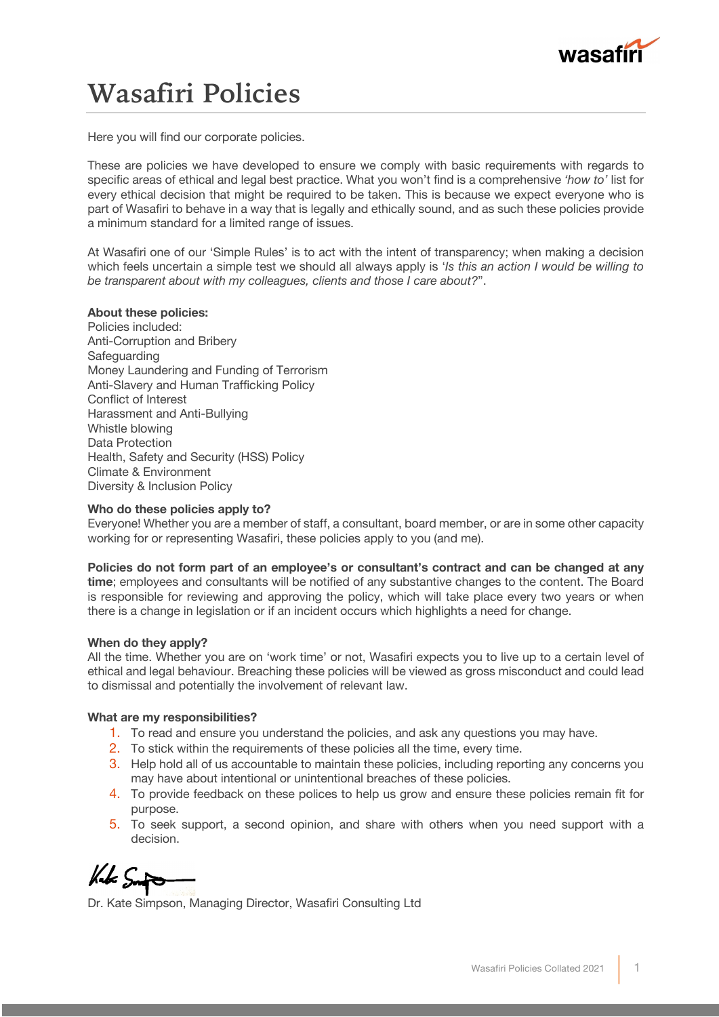

## **Wasafiri Policies**

Here you will find our corporate policies.

These are policies we have developed to ensure we comply with basic requirements with regards to specific areas of ethical and legal best practice. What you won't find is a comprehensive *'how to'* list for every ethical decision that might be required to be taken. This is because we expect everyone who is part of Wasafiri to behave in a way that is legally and ethically sound, and as such these policies provide a minimum standard for a limited range of issues.

At Wasafiri one of our 'Simple Rules' is to act with the intent of transparency; when making a decision which feels uncertain a simple test we should all always apply is '*Is this an action I would be willing to be transparent about with my colleagues, clients and those I care about?*".

#### **About these policies:**

Policies included: Anti-Corruption and Bribery Safeguarding Money Laundering and Funding of Terrorism Anti-Slavery and Human Trafficking Policy Conflict of Interest Harassment and Anti-Bullying Whistle blowing Data Protection Health, Safety and Security (HSS) Policy Climate & Environment Diversity & Inclusion Policy

#### **Who do these policies apply to?**

Everyone! Whether you are a member of staff, a consultant, board member, or are in some other capacity working for or representing Wasafiri, these policies apply to you (and me).

**Policies do not form part of an employee's or consultant's contract and can be changed at any time**; employees and consultants will be notified of any substantive changes to the content. The Board is responsible for reviewing and approving the policy, which will take place every two years or when there is a change in legislation or if an incident occurs which highlights a need for change.

#### **When do they apply?**

All the time. Whether you are on 'work time' or not, Wasafiri expects you to live up to a certain level of ethical and legal behaviour. Breaching these policies will be viewed as gross misconduct and could lead to dismissal and potentially the involvement of relevant law.

#### **What are my responsibilities?**

- 1. To read and ensure you understand the policies, and ask any questions you may have.
- 2. To stick within the requirements of these policies all the time, every time.
- 3. Help hold all of us accountable to maintain these policies, including reporting any concerns you may have about intentional or unintentional breaches of these policies.
- 4. To provide feedback on these polices to help us grow and ensure these policies remain fit for purpose.
- 5. To seek support, a second opinion, and share with others when you need support with a decision.

Kut Smit

Dr. Kate Simpson, Managing Director, Wasafiri Consulting Ltd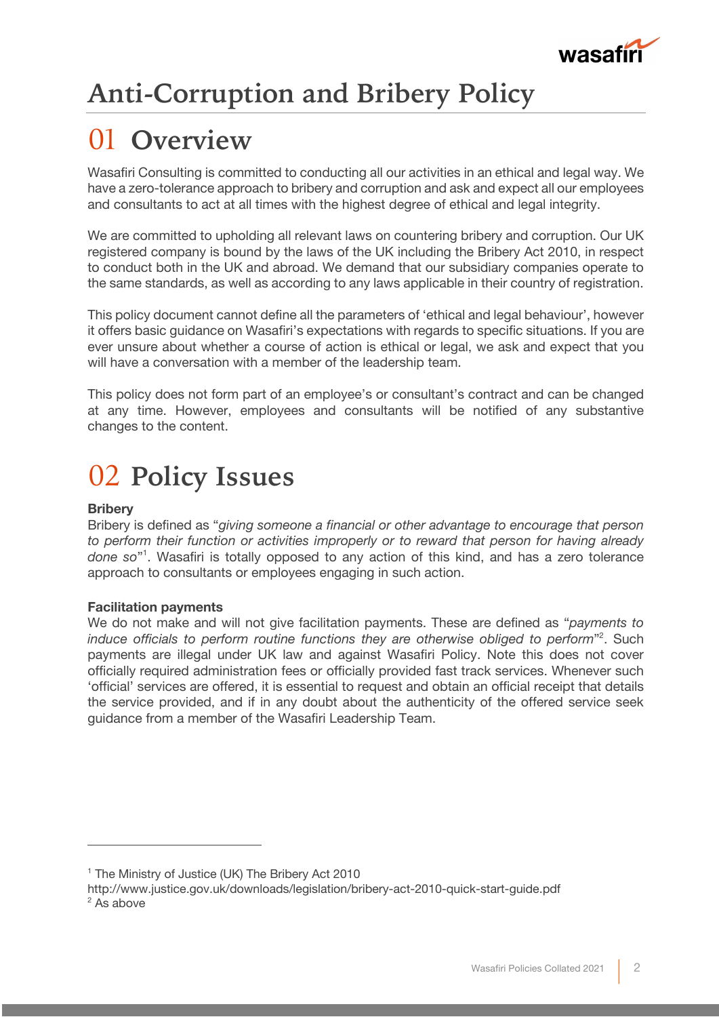

## **Anti-Corruption and Bribery Policy**

## 01 **Overview**

Wasafiri Consulting is committed to conducting all our activities in an ethical and legal way. We have a zero-tolerance approach to bribery and corruption and ask and expect all our employees and consultants to act at all times with the highest degree of ethical and legal integrity.

We are committed to upholding all relevant laws on countering bribery and corruption. Our UK registered company is bound by the laws of the UK including the Bribery Act 2010, in respect to conduct both in the UK and abroad. We demand that our subsidiary companies operate to the same standards, as well as according to any laws applicable in their country of registration.

This policy document cannot define all the parameters of 'ethical and legal behaviour', however it offers basic guidance on Wasafiri's expectations with regards to specific situations. If you are ever unsure about whether a course of action is ethical or legal, we ask and expect that you will have a conversation with a member of the leadership team.

This policy does not form part of an employee's or consultant's contract and can be changed at any time. However, employees and consultants will be notified of any substantive changes to the content.

## 02 **Policy Issues**

### **Bribery**

Bribery is defined as "*giving someone a financial or other advantage to encourage that person to perform their function or activities improperly or to reward that person for having already done so*"1 . Wasafiri is totally opposed to any action of this kind, and has a zero tolerance approach to consultants or employees engaging in such action.

### **Facilitation payments**

We do not make and will not give facilitation payments. These are defined as "*payments to induce officials to perform routine functions they are otherwise obliged to perform*"2 . Such payments are illegal under UK law and against Wasafiri Policy. Note this does not cover officially required administration fees or officially provided fast track services. Whenever such 'official' services are offered, it is essential to request and obtain an official receipt that details the service provided, and if in any doubt about the authenticity of the offered service seek guidance from a member of the Wasafiri Leadership Team.

<sup>&</sup>lt;sup>1</sup> The Ministry of Justice (UK) The Bribery Act 2010

http://www.justice.gov.uk/downloads/legislation/bribery-act-2010-quick-start-guide.pdf  $2$  As above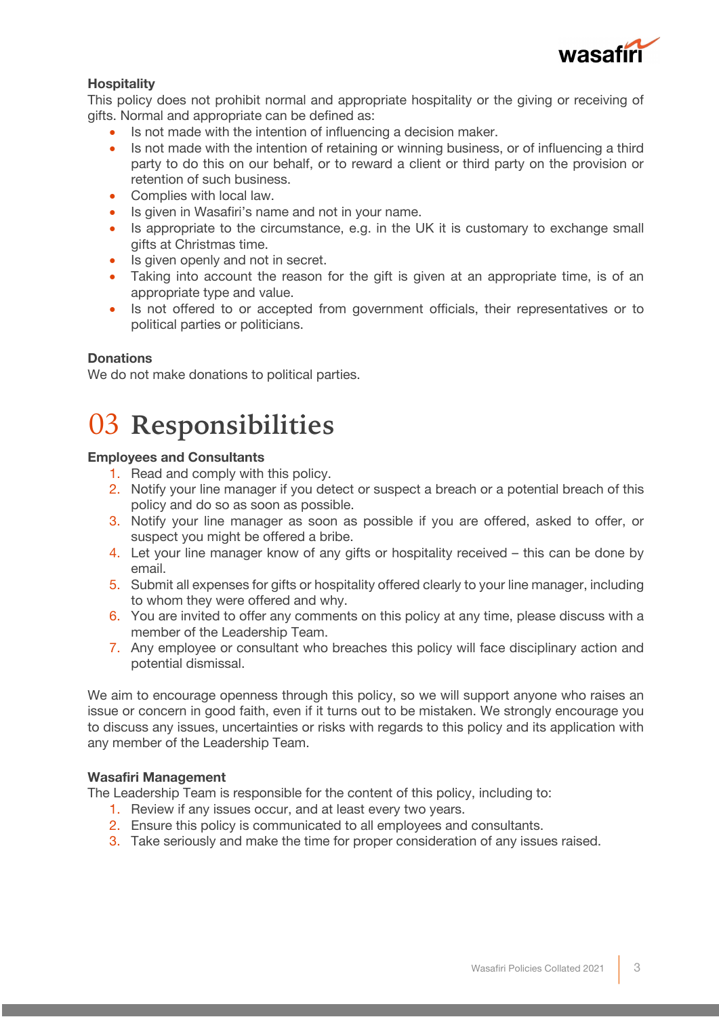

### **Hospitality**

This policy does not prohibit normal and appropriate hospitality or the giving or receiving of gifts. Normal and appropriate can be defined as:

- Is not made with the intention of influencing a decision maker.
- Is not made with the intention of retaining or winning business, or of influencing a third party to do this on our behalf, or to reward a client or third party on the provision or retention of such business.
- Complies with local law.
- Is given in Wasafiri's name and not in your name.
- Is appropriate to the circumstance, e.g. in the UK it is customary to exchange small gifts at Christmas time.
- Is given openly and not in secret.
- Taking into account the reason for the gift is given at an appropriate time, is of an appropriate type and value.
- Is not offered to or accepted from government officials, their representatives or to political parties or politicians.

### **Donations**

We do not make donations to political parties.

## 03 **Responsibilities**

### **Employees and Consultants**

- 1. Read and comply with this policy.
- 2. Notify your line manager if you detect or suspect a breach or a potential breach of this policy and do so as soon as possible.
- 3. Notify your line manager as soon as possible if you are offered, asked to offer, or suspect you might be offered a bribe.
- 4. Let your line manager know of any gifts or hospitality received this can be done by email.
- 5. Submit all expenses for gifts or hospitality offered clearly to your line manager, including to whom they were offered and why.
- 6. You are invited to offer any comments on this policy at any time, please discuss with a member of the Leadership Team.
- 7. Any employee or consultant who breaches this policy will face disciplinary action and potential dismissal.

We aim to encourage openness through this policy, so we will support anyone who raises an issue or concern in good faith, even if it turns out to be mistaken. We strongly encourage you to discuss any issues, uncertainties or risks with regards to this policy and its application with any member of the Leadership Team.

### **Wasafiri Management**

The Leadership Team is responsible for the content of this policy, including to:

- 1. Review if any issues occur, and at least every two years.
- 2. Ensure this policy is communicated to all employees and consultants.
- 3. Take seriously and make the time for proper consideration of any issues raised.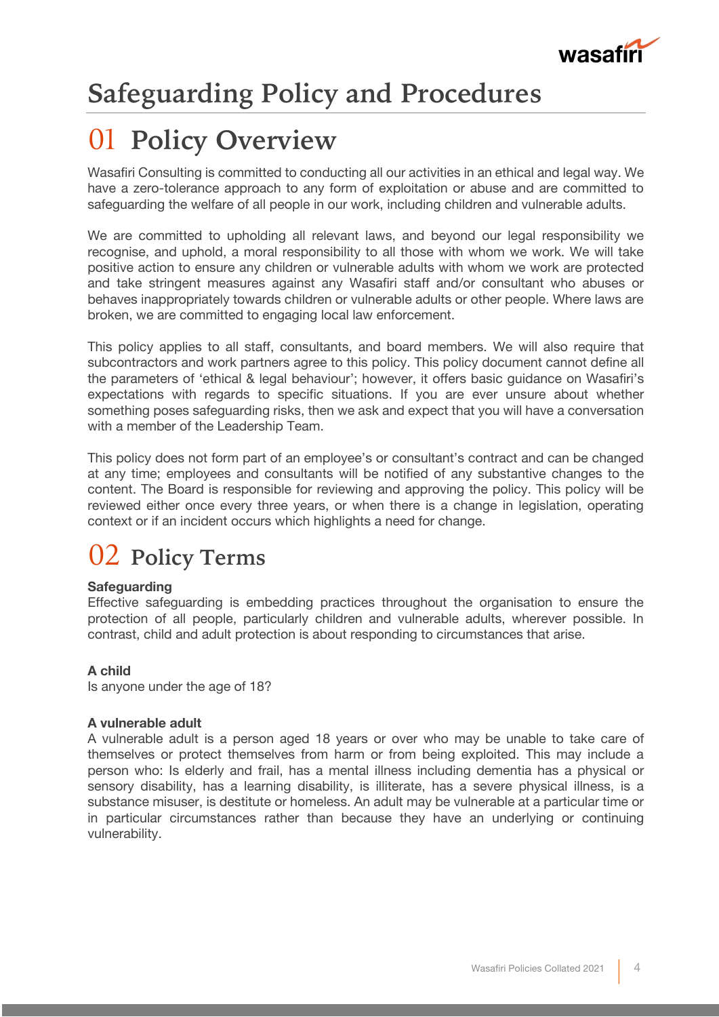

## **Safeguarding Policy and Procedures**

## 01 **Policy Overview**

Wasafiri Consulting is committed to conducting all our activities in an ethical and legal way. We have a zero-tolerance approach to any form of exploitation or abuse and are committed to safeguarding the welfare of all people in our work, including children and vulnerable adults.

We are committed to upholding all relevant laws, and beyond our legal responsibility we recognise, and uphold, a moral responsibility to all those with whom we work. We will take positive action to ensure any children or vulnerable adults with whom we work are protected and take stringent measures against any Wasafiri staff and/or consultant who abuses or behaves inappropriately towards children or vulnerable adults or other people. Where laws are broken, we are committed to engaging local law enforcement.

This policy applies to all staff, consultants, and board members. We will also require that subcontractors and work partners agree to this policy. This policy document cannot define all the parameters of 'ethical & legal behaviour'; however, it offers basic guidance on Wasafiri's expectations with regards to specific situations. If you are ever unsure about whether something poses safeguarding risks, then we ask and expect that you will have a conversation with a member of the Leadership Team.

This policy does not form part of an employee's or consultant's contract and can be changed at any time; employees and consultants will be notified of any substantive changes to the content. The Board is responsible for reviewing and approving the policy. This policy will be reviewed either once every three years, or when there is a change in legislation, operating context or if an incident occurs which highlights a need for change.

### 02 **Policy Terms**

### **Safeguarding**

Effective safeguarding is embedding practices throughout the organisation to ensure the protection of all people, particularly children and vulnerable adults, wherever possible. In contrast, child and adult protection is about responding to circumstances that arise.

### **A child**

Is anyone under the age of 18?

### **A vulnerable adult**

A vulnerable adult is a person aged 18 years or over who may be unable to take care of themselves or protect themselves from harm or from being exploited. This may include a person who: Is elderly and frail, has a mental illness including dementia has a physical or sensory disability, has a learning disability, is illiterate, has a severe physical illness, is a substance misuser, is destitute or homeless. An adult may be vulnerable at a particular time or in particular circumstances rather than because they have an underlying or continuing vulnerability.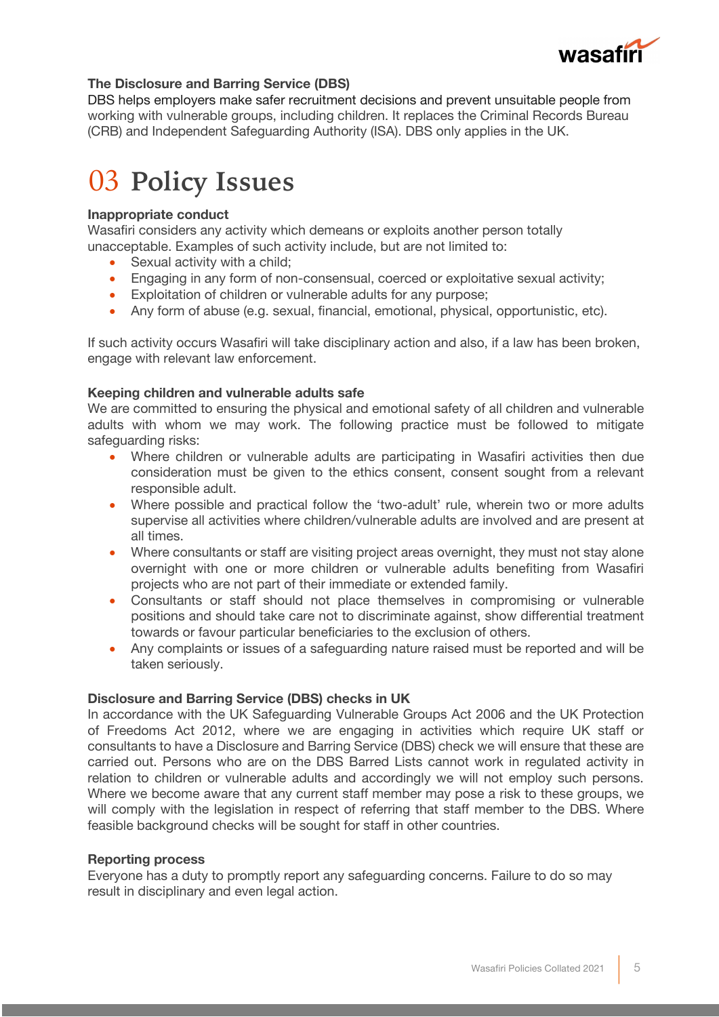

### **The Disclosure and Barring Service (DBS)**

DBS helps employers make safer recruitment decisions and prevent unsuitable people from working with vulnerable groups, including children. It replaces the Criminal Records Bureau (CRB) and Independent Safeguarding Authority (ISA). DBS only applies in the UK.

## 03 **Policy Issues**

### **Inappropriate conduct**

Wasafiri considers any activity which demeans or exploits another person totally unacceptable. Examples of such activity include, but are not limited to:

- Sexual activity with a child;
- Engaging in any form of non-consensual, coerced or exploitative sexual activity;
- Exploitation of children or vulnerable adults for any purpose;
- Any form of abuse (e.g. sexual, financial, emotional, physical, opportunistic, etc).

If such activity occurs Wasafiri will take disciplinary action and also, if a law has been broken, engage with relevant law enforcement.

### **Keeping children and vulnerable adults safe**

We are committed to ensuring the physical and emotional safety of all children and vulnerable adults with whom we may work. The following practice must be followed to mitigate safeguarding risks:

- Where children or vulnerable adults are participating in Wasafiri activities then due consideration must be given to the ethics consent, consent sought from a relevant responsible adult.
- Where possible and practical follow the 'two-adult' rule, wherein two or more adults supervise all activities where children/vulnerable adults are involved and are present at all times.
- Where consultants or staff are visiting project areas overnight, they must not stay alone overnight with one or more children or vulnerable adults benefiting from Wasafiri projects who are not part of their immediate or extended family.
- Consultants or staff should not place themselves in compromising or vulnerable positions and should take care not to discriminate against, show differential treatment towards or favour particular beneficiaries to the exclusion of others.
- Any complaints or issues of a safeguarding nature raised must be reported and will be taken seriously.

### **Disclosure and Barring Service (DBS) checks in UK**

In accordance with the UK Safeguarding Vulnerable Groups Act 2006 and the UK Protection of Freedoms Act 2012, where we are engaging in activities which require UK staff or consultants to have a Disclosure and Barring Service (DBS) check we will ensure that these are carried out. Persons who are on the DBS Barred Lists cannot work in regulated activity in relation to children or vulnerable adults and accordingly we will not employ such persons. Where we become aware that any current staff member may pose a risk to these groups, we will comply with the legislation in respect of referring that staff member to the DBS. Where feasible background checks will be sought for staff in other countries.

### **Reporting process**

Everyone has a duty to promptly report any safeguarding concerns. Failure to do so may result in disciplinary and even legal action.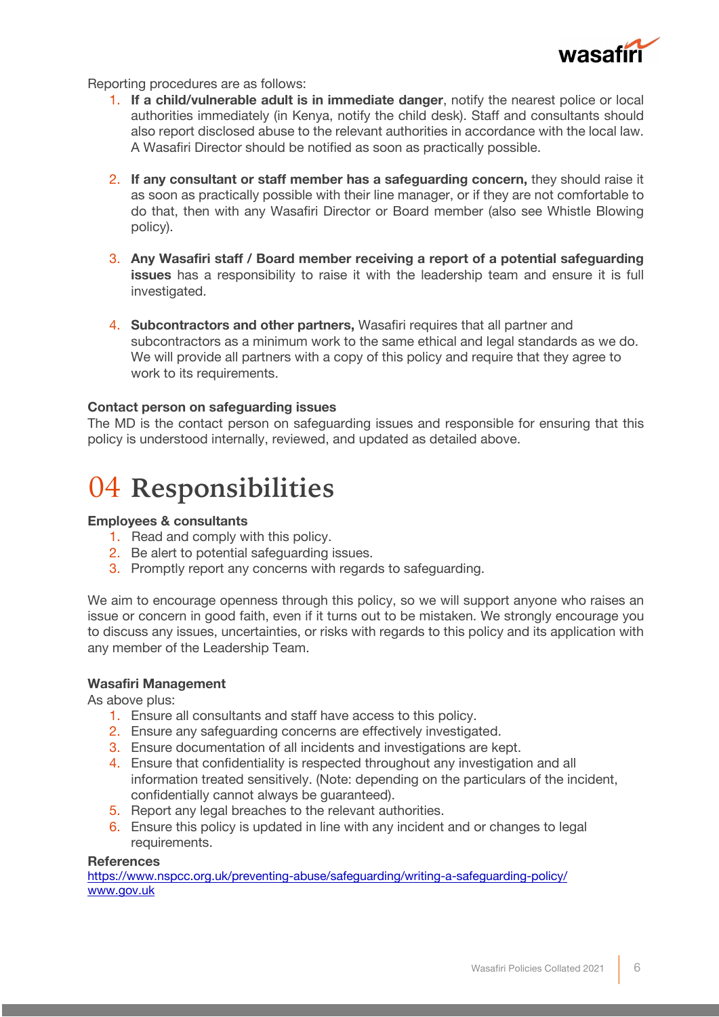

Reporting procedures are as follows:

- 1. **If a child/vulnerable adult is in immediate danger**, notify the nearest police or local authorities immediately (in Kenya, notify the child desk). Staff and consultants should also report disclosed abuse to the relevant authorities in accordance with the local law. A Wasafiri Director should be notified as soon as practically possible.
- 2. **If any consultant or staff member has a safeguarding concern,** they should raise it as soon as practically possible with their line manager, or if they are not comfortable to do that, then with any Wasafiri Director or Board member (also see Whistle Blowing policy).
- 3. **Any Wasafiri staff / Board member receiving a report of a potential safeguarding issues** has a responsibility to raise it with the leadership team and ensure it is full investigated.
- 4. **Subcontractors and other partners,** Wasafiri requires that all partner and subcontractors as a minimum work to the same ethical and legal standards as we do. We will provide all partners with a copy of this policy and require that they agree to work to its requirements.

### **Contact person on safeguarding issues**

The MD is the contact person on safeguarding issues and responsible for ensuring that this policy is understood internally, reviewed, and updated as detailed above.

### 04 **Responsibilities**

### **Employees & consultants**

- 1. Read and comply with this policy.
- 2. Be alert to potential safeguarding issues.
- 3. Promptly report any concerns with regards to safeguarding.

We aim to encourage openness through this policy, so we will support anyone who raises an issue or concern in good faith, even if it turns out to be mistaken. We strongly encourage you to discuss any issues, uncertainties, or risks with regards to this policy and its application with any member of the Leadership Team.

### **Wasafiri Management**

As above plus:

- 1. Ensure all consultants and staff have access to this policy.
- 2. Ensure any safeguarding concerns are effectively investigated.
- 3. Ensure documentation of all incidents and investigations are kept.
- 4. Ensure that confidentiality is respected throughout any investigation and all information treated sensitively. (Note: depending on the particulars of the incident, confidentially cannot always be guaranteed).
- 5. Report any legal breaches to the relevant authorities.
- 6. Ensure this policy is updated in line with any incident and or changes to legal requirements.

#### **References**

https://www.nspcc.org.uk/preventing-abuse/safeguarding/writing-a-safeguarding-policy/ www.gov.uk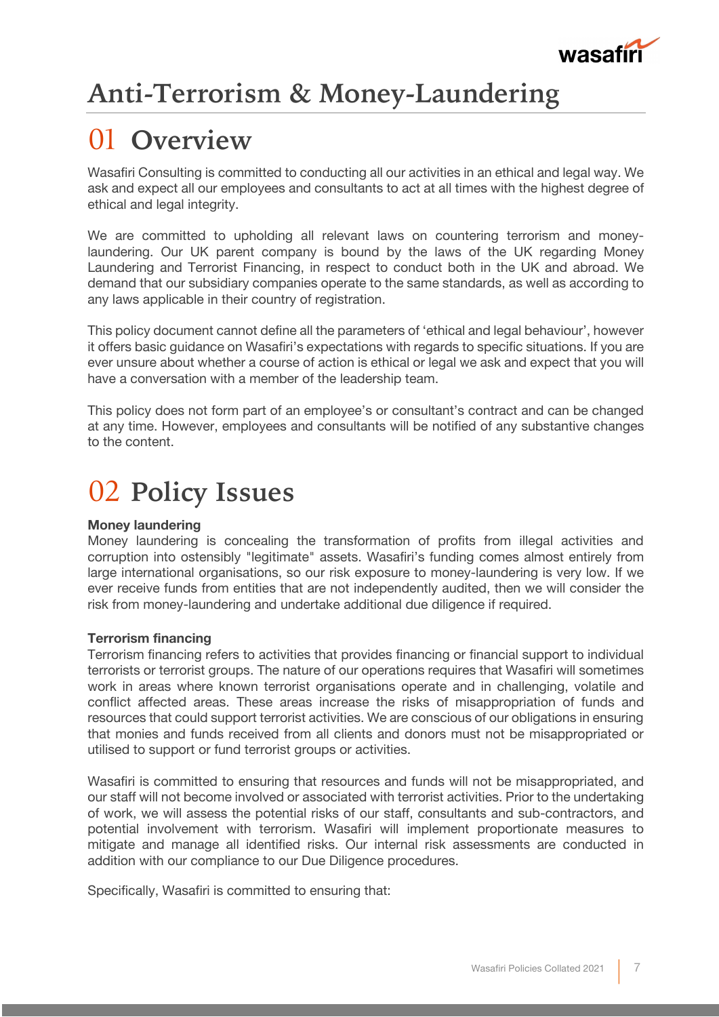

## **Anti-Terrorism & Money-Laundering**

## 01 **Overview**

Wasafiri Consulting is committed to conducting all our activities in an ethical and legal way. We ask and expect all our employees and consultants to act at all times with the highest degree of ethical and legal integrity.

We are committed to upholding all relevant laws on countering terrorism and moneylaundering. Our UK parent company is bound by the laws of the UK regarding Money Laundering and Terrorist Financing, in respect to conduct both in the UK and abroad. We demand that our subsidiary companies operate to the same standards, as well as according to any laws applicable in their country of registration.

This policy document cannot define all the parameters of 'ethical and legal behaviour', however it offers basic guidance on Wasafiri's expectations with regards to specific situations. If you are ever unsure about whether a course of action is ethical or legal we ask and expect that you will have a conversation with a member of the leadership team.

This policy does not form part of an employee's or consultant's contract and can be changed at any time. However, employees and consultants will be notified of any substantive changes to the content.

## 02 **Policy Issues**

### **Money laundering**

Money laundering is concealing the transformation of profits from illegal activities and corruption into ostensibly "legitimate" assets. Wasafiri's funding comes almost entirely from large international organisations, so our risk exposure to money-laundering is very low. If we ever receive funds from entities that are not independently audited, then we will consider the risk from money-laundering and undertake additional due diligence if required.

### **Terrorism financing**

Terrorism financing refers to activities that provides financing or financial support to individual terrorists or terrorist groups. The nature of our operations requires that Wasafiri will sometimes work in areas where known terrorist organisations operate and in challenging, volatile and conflict affected areas. These areas increase the risks of misappropriation of funds and resources that could support terrorist activities. We are conscious of our obligations in ensuring that monies and funds received from all clients and donors must not be misappropriated or utilised to support or fund terrorist groups or activities.

Wasafiri is committed to ensuring that resources and funds will not be misappropriated, and our staff will not become involved or associated with terrorist activities. Prior to the undertaking of work, we will assess the potential risks of our staff, consultants and sub-contractors, and potential involvement with terrorism. Wasafiri will implement proportionate measures to mitigate and manage all identified risks. Our internal risk assessments are conducted in addition with our compliance to our Due Diligence procedures.

Specifically, Wasafiri is committed to ensuring that: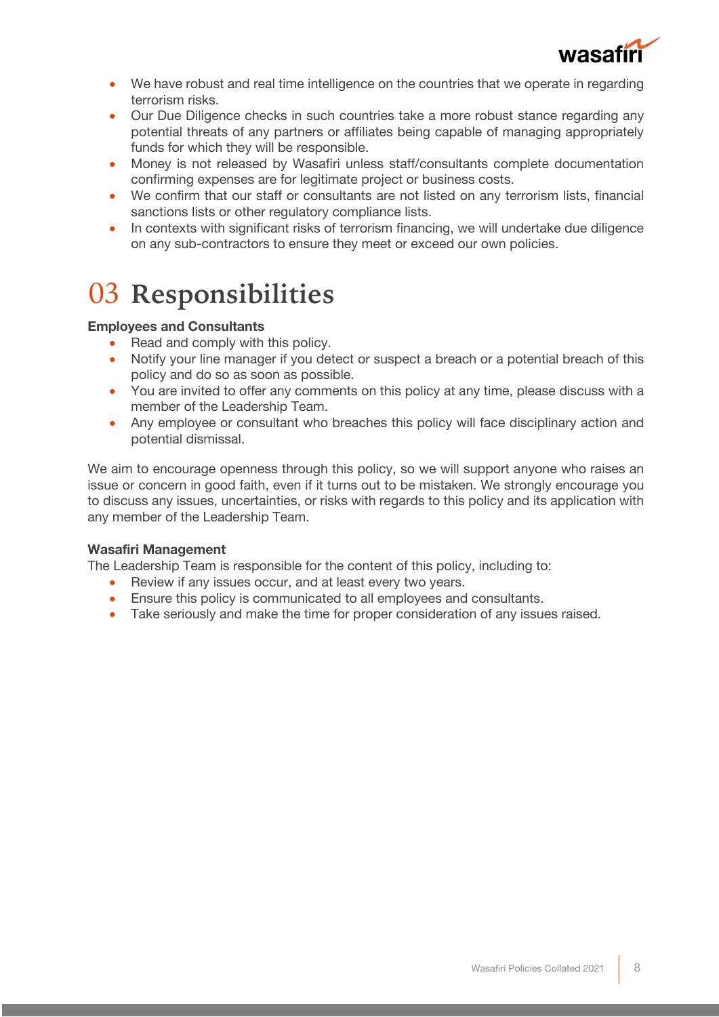

- We have robust and real time intelligence on the countries that we operate in regarding terrorism risks.
- Our Due Diligence checks in such countries take a more robust stance regarding any potential threats of any partners or affiliates being capable of managing appropriately funds for which they will be responsible.
- Money is not released by Wasafiri unless staff/consultants complete documentation confirming expenses are for legitimate project or business costs.
- We confirm that our staff or consultants are not listed on any terrorism lists, financial sanctions lists or other regulatory compliance lists.
- In contexts with significant risks of terrorism financing, we will undertake due diligence on any sub-contractors to ensure they meet or exceed our own policies.

## 03 **Responsibilities**

### **Employees and Consultants**

- Read and comply with this policy.
- Notify your line manager if you detect or suspect a breach or a potential breach of this policy and do so as soon as possible.
- You are invited to offer any comments on this policy at any time, please discuss with a member of the Leadership Team.
- Any employee or consultant who breaches this policy will face disciplinary action and potential dismissal.

We aim to encourage openness through this policy, so we will support anyone who raises an issue or concern in good faith, even if it turns out to be mistaken. We strongly encourage you to discuss any issues, uncertainties, or risks with regards to this policy and its application with any member of the Leadership Team.

### **Wasafiri Management**

The Leadership Team is responsible for the content of this policy, including to:

- Review if any issues occur, and at least every two years.
- Ensure this policy is communicated to all employees and consultants.
- Take seriously and make the time for proper consideration of any issues raised.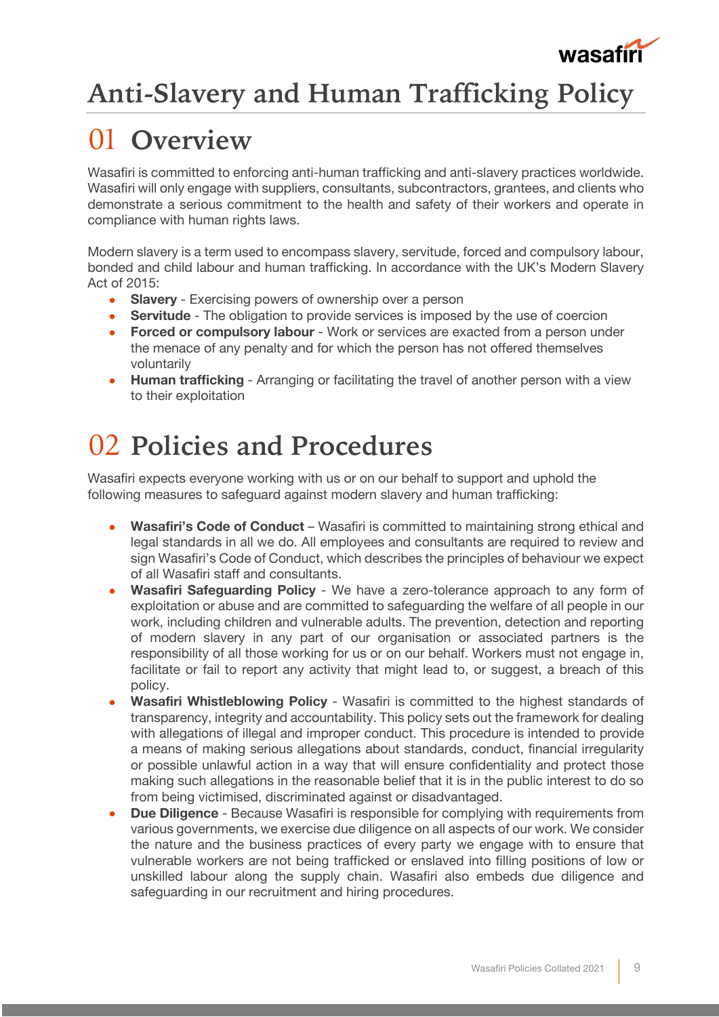

## **Anti-Slavery and Human Trafficking Policy**

## 01 **Overview**

Wasafiri is committed to enforcing anti-human trafficking and anti-slavery practices worldwide. Wasafiri will only engage with suppliers, consultants, subcontractors, grantees, and clients who demonstrate a serious commitment to the health and safety of their workers and operate in compliance with human rights laws.

Modern slavery is a term used to encompass slavery, servitude, forced and compulsory labour, bonded and child labour and human trafficking. In accordance with the UK's Modern Slavery Act of 2015:

- **Slavery** Exercising powers of ownership over a person
- **Servitude** The obligation to provide services is imposed by the use of coercion
- **Forced or compulsory labour** Work or services are exacted from a person under the menace of any penalty and for which the person has not offered themselves voluntarily
- **Human trafficking** Arranging or facilitating the travel of another person with a view to their exploitation

## 02 **Policies and Procedures**

Wasafiri expects everyone working with us or on our behalf to support and uphold the following measures to safeguard against modern slavery and human trafficking:

- **Wasafiri's Code of Conduct** Wasafiri is committed to maintaining strong ethical and legal standards in all we do. All employees and consultants are required to review and sign Wasafiri's Code of Conduct, which describes the principles of behaviour we expect of all Wasafiri staff and consultants.
- **Wasafiri Safeguarding Policy** We have a zero-tolerance approach to any form of exploitation or abuse and are committed to safeguarding the welfare of all people in our work, including children and vulnerable adults. The prevention, detection and reporting of modern slavery in any part of our organisation or associated partners is the responsibility of all those working for us or on our behalf. Workers must not engage in, facilitate or fail to report any activity that might lead to, or suggest, a breach of this policy.
- **Wasafiri Whistleblowing Policy** Wasafiri is committed to the highest standards of transparency, integrity and accountability. This policy sets out the framework for dealing with allegations of illegal and improper conduct. This procedure is intended to provide a means of making serious allegations about standards, conduct, financial irregularity or possible unlawful action in a way that will ensure confidentiality and protect those making such allegations in the reasonable belief that it is in the public interest to do so from being victimised, discriminated against or disadvantaged.
- **Due Diligence**  Because Wasafiri is responsible for complying with requirements from various governments, we exercise due diligence on all aspects of our work. We consider the nature and the business practices of every party we engage with to ensure that vulnerable workers are not being trafficked or enslaved into filling positions of low or unskilled labour along the supply chain. Wasafiri also embeds due diligence and safeguarding in our recruitment and hiring procedures.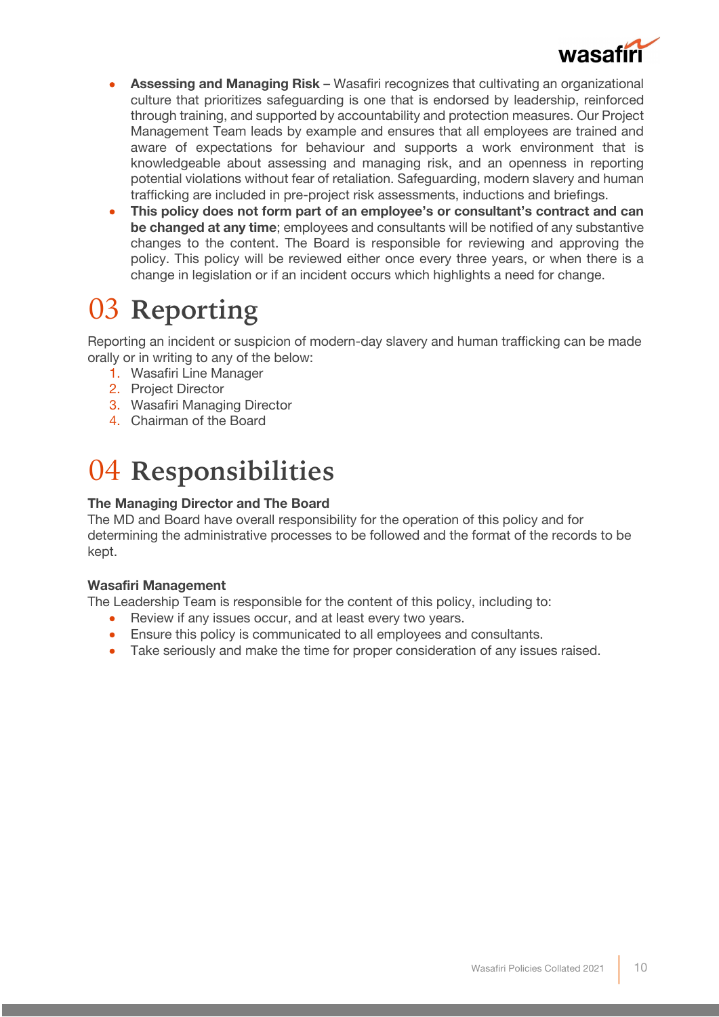

- **Assessing and Managing Risk** Wasafiri recognizes that cultivating an organizational culture that prioritizes safeguarding is one that is endorsed by leadership, reinforced through training, and supported by accountability and protection measures. Our Project Management Team leads by example and ensures that all employees are trained and aware of expectations for behaviour and supports a work environment that is knowledgeable about assessing and managing risk, and an openness in reporting potential violations without fear of retaliation. Safeguarding, modern slavery and human trafficking are included in pre-project risk assessments, inductions and briefings.
- **This policy does not form part of an employee's or consultant's contract and can be changed at any time**; employees and consultants will be notified of any substantive changes to the content. The Board is responsible for reviewing and approving the policy. This policy will be reviewed either once every three years, or when there is a change in legislation or if an incident occurs which highlights a need for change.

## 03 **Reporting**

Reporting an incident or suspicion of modern-day slavery and human trafficking can be made orally or in writing to any of the below:

- 1. Wasafiri Line Manager
- 2. Project Director
- 3. Wasafiri Managing Director
- 4. Chairman of the Board

## 04 **Responsibilities**

### **The Managing Director and The Board**

The MD and Board have overall responsibility for the operation of this policy and for determining the administrative processes to be followed and the format of the records to be kept.

### **Wasafiri Management**

The Leadership Team is responsible for the content of this policy, including to:

- Review if any issues occur, and at least every two years.
- Ensure this policy is communicated to all employees and consultants.
- Take seriously and make the time for proper consideration of any issues raised.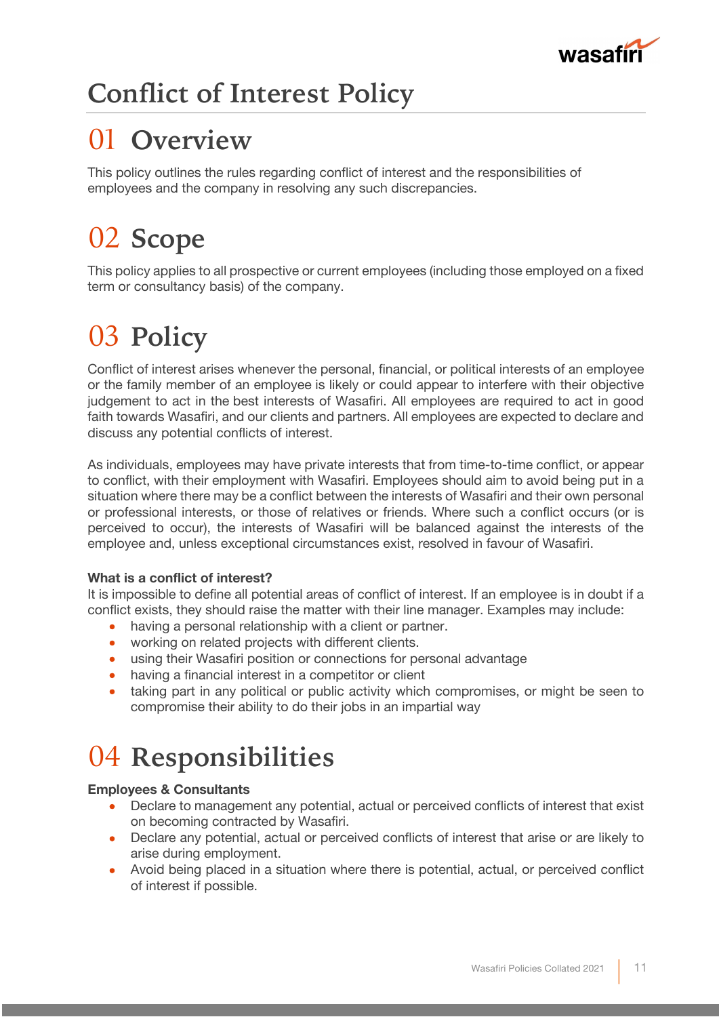

## **Conflict of Interest Policy**

## 01 **Overview**

This policy outlines the rules regarding conflict of interest and the responsibilities of employees and the company in resolving any such discrepancies.

## 02 **Scope**

This policy applies to all prospective or current employees (including those employed on a fixed term or consultancy basis) of the company.

# 03 **Policy**

Conflict of interest arises whenever the personal, financial, or political interests of an employee or the family member of an employee is likely or could appear to interfere with their objective judgement to act in the best interests of Wasafiri. All employees are required to act in good faith towards Wasafiri, and our clients and partners. All employees are expected to declare and discuss any potential conflicts of interest.

As individuals, employees may have private interests that from time-to-time conflict, or appear to conflict, with their employment with Wasafiri. Employees should aim to avoid being put in a situation where there may be a conflict between the interests of Wasafiri and their own personal or professional interests, or those of relatives or friends. Where such a conflict occurs (or is perceived to occur), the interests of Wasafiri will be balanced against the interests of the employee and, unless exceptional circumstances exist, resolved in favour of Wasafiri.

### **What is a conflict of interest?**

It is impossible to define all potential areas of conflict of interest. If an employee is in doubt if a conflict exists, they should raise the matter with their line manager. Examples may include:

- having a personal relationship with a client or partner.
- working on related projects with different clients.
- using their Wasafiri position or connections for personal advantage
- having a financial interest in a competitor or client
- taking part in any political or public activity which compromises, or might be seen to compromise their ability to do their jobs in an impartial way

## 04 **Responsibilities**

### **Employees & Consultants**

- Declare to management any potential, actual or perceived conflicts of interest that exist on becoming contracted by Wasafiri.
- Declare any potential, actual or perceived conflicts of interest that arise or are likely to arise during employment.
- Avoid being placed in a situation where there is potential, actual, or perceived conflict of interest if possible.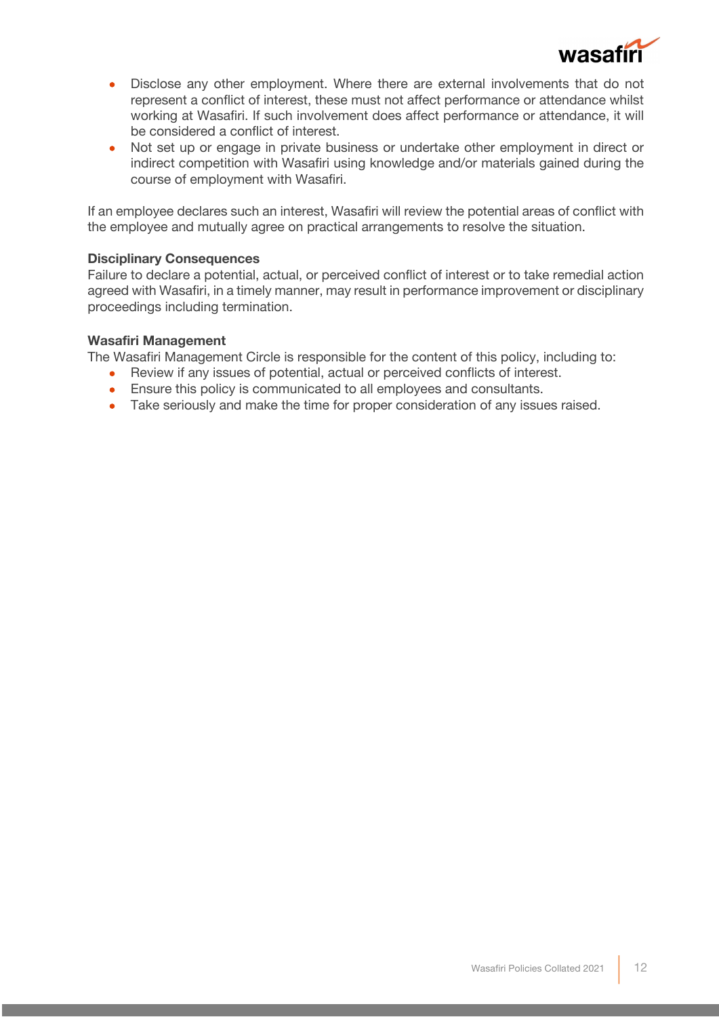

- Disclose any other employment. Where there are external involvements that do not represent a conflict of interest, these must not affect performance or attendance whilst working at Wasafiri. If such involvement does affect performance or attendance, it will be considered a conflict of interest.
- Not set up or engage in private business or undertake other employment in direct or indirect competition with Wasafiri using knowledge and/or materials gained during the course of employment with Wasafiri.

If an employee declares such an interest, Wasafiri will review the potential areas of conflict with the employee and mutually agree on practical arrangements to resolve the situation.

### **Disciplinary Consequences**

Failure to declare a potential, actual, or perceived conflict of interest or to take remedial action agreed with Wasafiri, in a timely manner, may result in performance improvement or disciplinary proceedings including termination.

### **Wasafiri Management**

The Wasafiri Management Circle is responsible for the content of this policy, including to:

- Review if any issues of potential, actual or perceived conflicts of interest.
- Ensure this policy is communicated to all employees and consultants.
- Take seriously and make the time for proper consideration of any issues raised.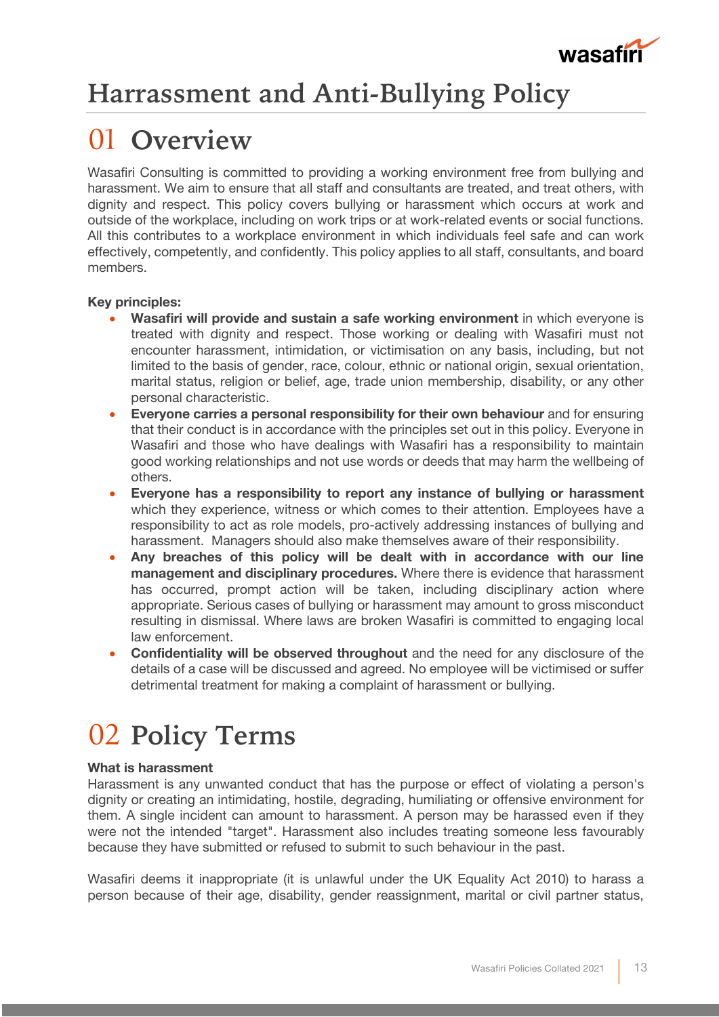

## **Harrassment and Anti-Bullying Policy**

## 01 **Overview**

Wasafiri Consulting is committed to providing a working environment free from bullying and harassment. We aim to ensure that all staff and consultants are treated, and treat others, with dignity and respect. This policy covers bullying or harassment which occurs at work and outside of the workplace, including on work trips or at work-related events or social functions. All this contributes to a workplace environment in which individuals feel safe and can work effectively, competently, and confidently. This policy applies to all staff, consultants, and board members.

### **Key principles:**

- **Wasafiri will provide and sustain a safe working environment** in which everyone is treated with dignity and respect. Those working or dealing with Wasafiri must not encounter harassment, intimidation, or victimisation on any basis, including, but not limited to the basis of gender, race, colour, ethnic or national origin, sexual orientation, marital status, religion or belief, age, trade union membership, disability, or any other personal characteristic.
- **Everyone carries a personal responsibility for their own behaviour** and for ensuring that their conduct is in accordance with the principles set out in this policy. Everyone in Wasafiri and those who have dealings with Wasafiri has a responsibility to maintain good working relationships and not use words or deeds that may harm the wellbeing of others.
- **Everyone has a responsibility to report any instance of bullying or harassment** which they experience, witness or which comes to their attention. Employees have a responsibility to act as role models, pro-actively addressing instances of bullying and harassment. Managers should also make themselves aware of their responsibility.
- **Any breaches of this policy will be dealt with in accordance with our line management and disciplinary procedures.** Where there is evidence that harassment has occurred, prompt action will be taken, including disciplinary action where appropriate. Serious cases of bullying or harassment may amount to gross misconduct resulting in dismissal. Where laws are broken Wasafiri is committed to engaging local law enforcement.
- **Confidentiality will be observed throughout** and the need for any disclosure of the details of a case will be discussed and agreed. No employee will be victimised or suffer detrimental treatment for making a complaint of harassment or bullying.

## 02 **Policy Terms**

### **What is harassment**

Harassment is any unwanted conduct that has the purpose or effect of violating a person's dignity or creating an intimidating, hostile, degrading, humiliating or offensive environment for them. A single incident can amount to harassment. A person may be harassed even if they were not the intended "target". Harassment also includes treating someone less favourably because they have submitted or refused to submit to such behaviour in the past.

Wasafiri deems it inappropriate (it is unlawful under the UK Equality Act 2010) to harass a person because of their age, disability, gender reassignment, marital or civil partner status,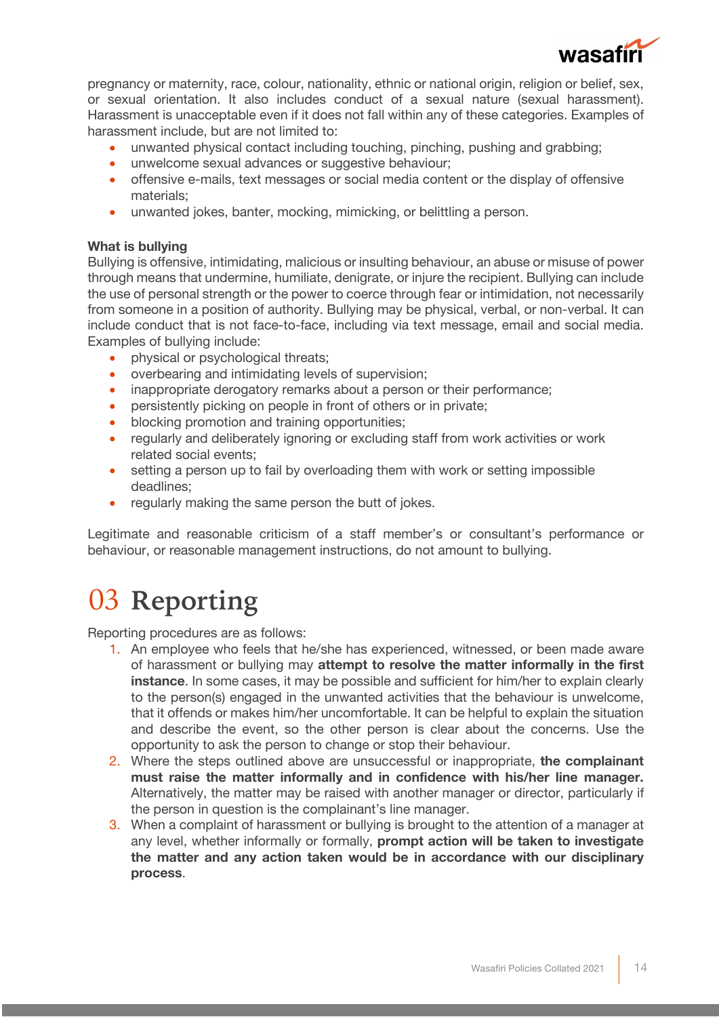

pregnancy or maternity, race, colour, nationality, ethnic or national origin, religion or belief, sex, or sexual orientation. It also includes conduct of a sexual nature (sexual harassment). Harassment is unacceptable even if it does not fall within any of these categories. Examples of harassment include, but are not limited to:

- unwanted physical contact including touching, pinching, pushing and grabbing;
- unwelcome sexual advances or suggestive behaviour;
- offensive e-mails, text messages or social media content or the display of offensive materials;
- unwanted jokes, banter, mocking, mimicking, or belittling a person.

### **What is bullying**

Bullying is offensive, intimidating, malicious or insulting behaviour, an abuse or misuse of power through means that undermine, humiliate, denigrate, or injure the recipient. Bullying can include the use of personal strength or the power to coerce through fear or intimidation, not necessarily from someone in a position of authority. Bullying may be physical, verbal, or non-verbal. It can include conduct that is not face-to-face, including via text message, email and social media. Examples of bullying include:

- physical or psychological threats;
- overbearing and intimidating levels of supervision;
- inappropriate derogatory remarks about a person or their performance;
- persistently picking on people in front of others or in private;
- blocking promotion and training opportunities:
- regularly and deliberately ignoring or excluding staff from work activities or work related social events;
- setting a person up to fail by overloading them with work or setting impossible deadlines;
- regularly making the same person the butt of jokes.

Legitimate and reasonable criticism of a staff member's or consultant's performance or behaviour, or reasonable management instructions, do not amount to bullying.

### 03 **Reporting**

Reporting procedures are as follows:

- 1. An employee who feels that he/she has experienced, witnessed, or been made aware of harassment or bullying may **attempt to resolve the matter informally in the first instance**. In some cases, it may be possible and sufficient for him/her to explain clearly to the person(s) engaged in the unwanted activities that the behaviour is unwelcome, that it offends or makes him/her uncomfortable. It can be helpful to explain the situation and describe the event, so the other person is clear about the concerns. Use the opportunity to ask the person to change or stop their behaviour.
- 2. Where the steps outlined above are unsuccessful or inappropriate, **the complainant must raise the matter informally and in confidence with his/her line manager.**  Alternatively, the matter may be raised with another manager or director, particularly if the person in question is the complainant's line manager.
- 3. When a complaint of harassment or bullying is brought to the attention of a manager at any level, whether informally or formally, **prompt action will be taken to investigate the matter and any action taken would be in accordance with our disciplinary process**.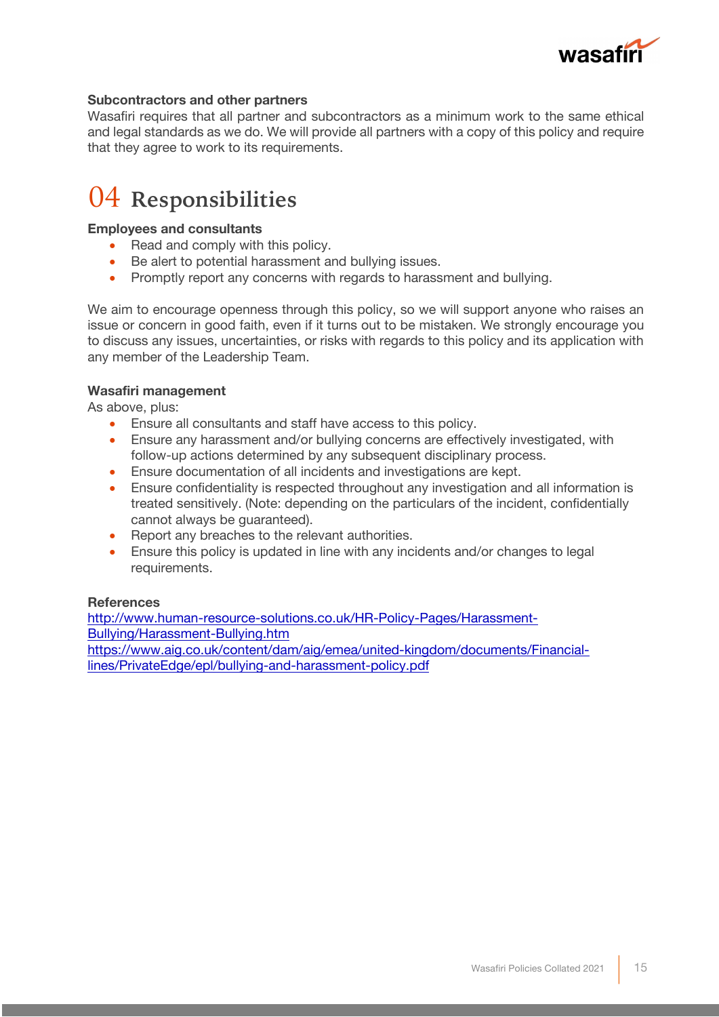

### **Subcontractors and other partners**

Wasafiri requires that all partner and subcontractors as a minimum work to the same ethical and legal standards as we do. We will provide all partners with a copy of this policy and require that they agree to work to its requirements.

### 04 **Responsibilities**

### **Employees and consultants**

- Read and comply with this policy.
- Be alert to potential harassment and bullying issues.
- Promptly report any concerns with regards to harassment and bullying.

We aim to encourage openness through this policy, so we will support anyone who raises an issue or concern in good faith, even if it turns out to be mistaken. We strongly encourage you to discuss any issues, uncertainties, or risks with regards to this policy and its application with any member of the Leadership Team.

### **Wasafiri management**

As above, plus:

- Ensure all consultants and staff have access to this policy.
- Ensure any harassment and/or bullying concerns are effectively investigated, with follow-up actions determined by any subsequent disciplinary process.
- Ensure documentation of all incidents and investigations are kept.
- Ensure confidentiality is respected throughout any investigation and all information is treated sensitively. (Note: depending on the particulars of the incident, confidentially cannot always be guaranteed).
- Report any breaches to the relevant authorities.
- Ensure this policy is updated in line with any incidents and/or changes to legal requirements.

### **References**

http://www.human-resource-solutions.co.uk/HR-Policy-Pages/Harassment-Bullying/Harassment-Bullying.htm https://www.aig.co.uk/content/dam/aig/emea/united-kingdom/documents/Financiallines/PrivateEdge/epl/bullying-and-harassment-policy.pdf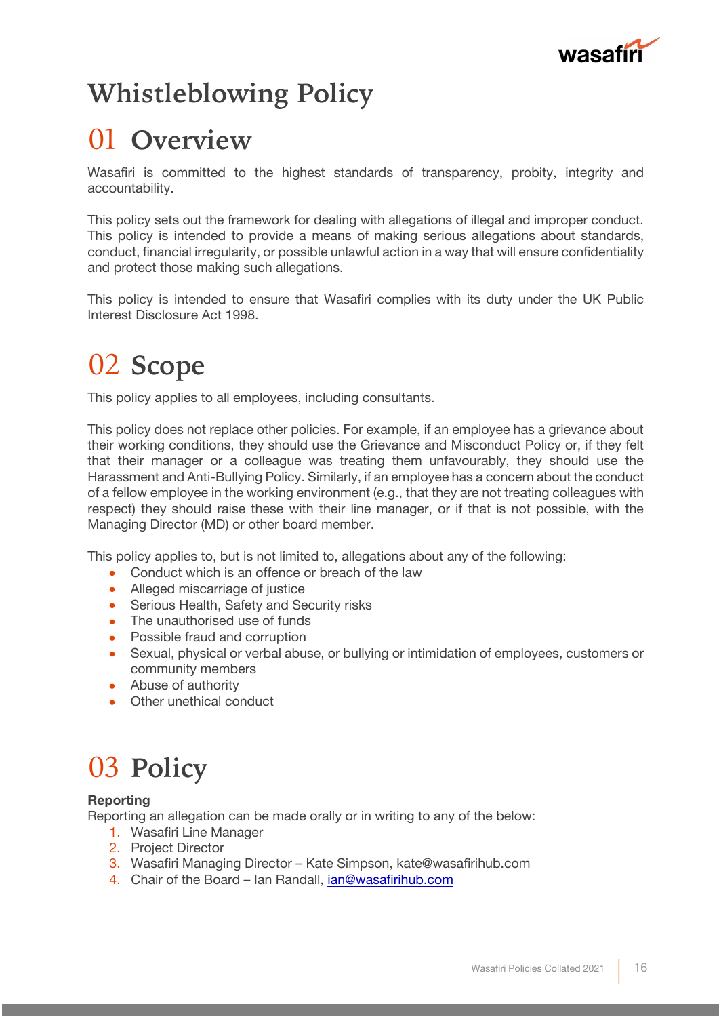

## **Whistleblowing Policy**

## 01 **Overview**

Wasafiri is committed to the highest standards of transparency, probity, integrity and accountability.

This policy sets out the framework for dealing with allegations of illegal and improper conduct. This policy is intended to provide a means of making serious allegations about standards, conduct, financial irregularity, or possible unlawful action in a way that will ensure confidentiality and protect those making such allegations.

This policy is intended to ensure that Wasafiri complies with its duty under the UK Public Interest Disclosure Act 1998.

## 02 **Scope**

This policy applies to all employees, including consultants.

This policy does not replace other policies. For example, if an employee has a grievance about their working conditions, they should use the Grievance and Misconduct Policy or, if they felt that their manager or a colleague was treating them unfavourably, they should use the Harassment and Anti-Bullying Policy. Similarly, if an employee has a concern about the conduct of a fellow employee in the working environment (e.g., that they are not treating colleagues with respect) they should raise these with their line manager, or if that is not possible, with the Managing Director (MD) or other board member.

This policy applies to, but is not limited to, allegations about any of the following:

- Conduct which is an offence or breach of the law
- Alleged miscarriage of justice
- Serious Health, Safety and Security risks
- The unauthorised use of funds
- Possible fraud and corruption
- Sexual, physical or verbal abuse, or bullying or intimidation of employees, customers or community members
- Abuse of authority
- Other unethical conduct

## 03 **Policy**

### **Reporting**

Reporting an allegation can be made orally or in writing to any of the below:

- 1. Wasafiri Line Manager
- 2. Project Director
- 3. Wasafiri Managing Director Kate Simpson, kate@wasafirihub.com
- 4. Chair of the Board Ian Randall, ian@wasafirihub.com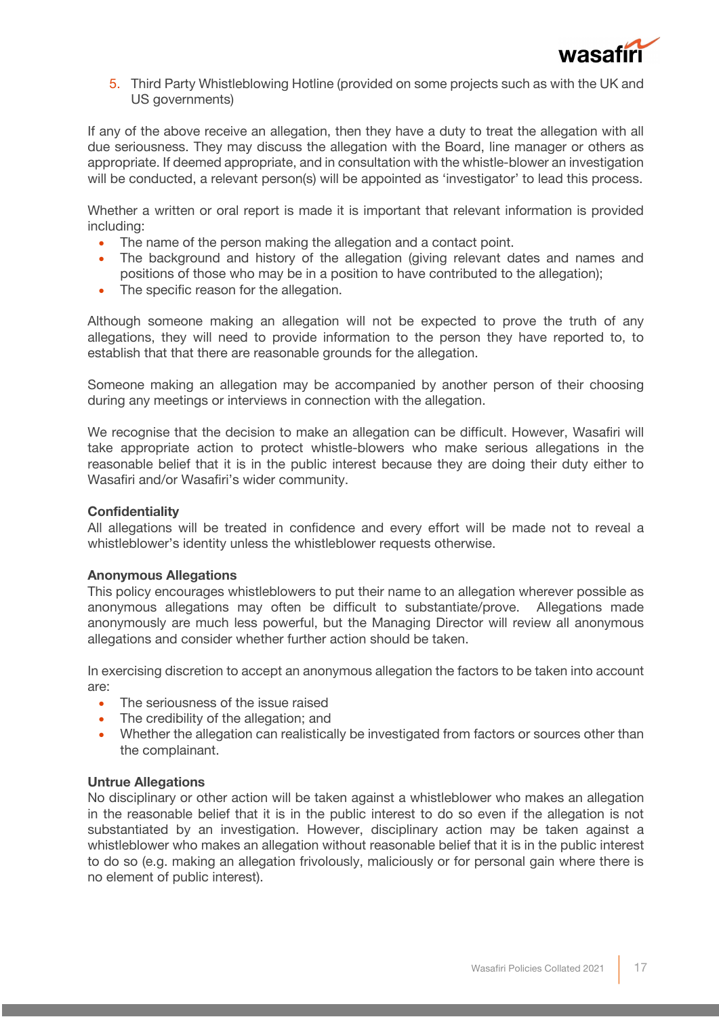

5. Third Party Whistleblowing Hotline (provided on some projects such as with the UK and US governments)

If any of the above receive an allegation, then they have a duty to treat the allegation with all due seriousness. They may discuss the allegation with the Board, line manager or others as appropriate. If deemed appropriate, and in consultation with the whistle-blower an investigation will be conducted, a relevant person(s) will be appointed as 'investigator' to lead this process.

Whether a written or oral report is made it is important that relevant information is provided including:

- The name of the person making the allegation and a contact point.
- The background and history of the allegation (giving relevant dates and names and positions of those who may be in a position to have contributed to the allegation);
- The specific reason for the allegation.

Although someone making an allegation will not be expected to prove the truth of any allegations, they will need to provide information to the person they have reported to, to establish that that there are reasonable grounds for the allegation.

Someone making an allegation may be accompanied by another person of their choosing during any meetings or interviews in connection with the allegation.

We recognise that the decision to make an allegation can be difficult. However, Wasafiri will take appropriate action to protect whistle-blowers who make serious allegations in the reasonable belief that it is in the public interest because they are doing their duty either to Wasafiri and/or Wasafiri's wider community.

### **Confidentiality**

All allegations will be treated in confidence and every effort will be made not to reveal a whistleblower's identity unless the whistleblower requests otherwise.

### **Anonymous Allegations**

This policy encourages whistleblowers to put their name to an allegation wherever possible as anonymous allegations may often be difficult to substantiate/prove. Allegations made anonymously are much less powerful, but the Managing Director will review all anonymous allegations and consider whether further action should be taken.

In exercising discretion to accept an anonymous allegation the factors to be taken into account are:

- The seriousness of the issue raised
- The credibility of the allegation; and
- Whether the allegation can realistically be investigated from factors or sources other than the complainant.

### **Untrue Allegations**

No disciplinary or other action will be taken against a whistleblower who makes an allegation in the reasonable belief that it is in the public interest to do so even if the allegation is not substantiated by an investigation. However, disciplinary action may be taken against a whistleblower who makes an allegation without reasonable belief that it is in the public interest to do so (e.g. making an allegation frivolously, maliciously or for personal gain where there is no element of public interest).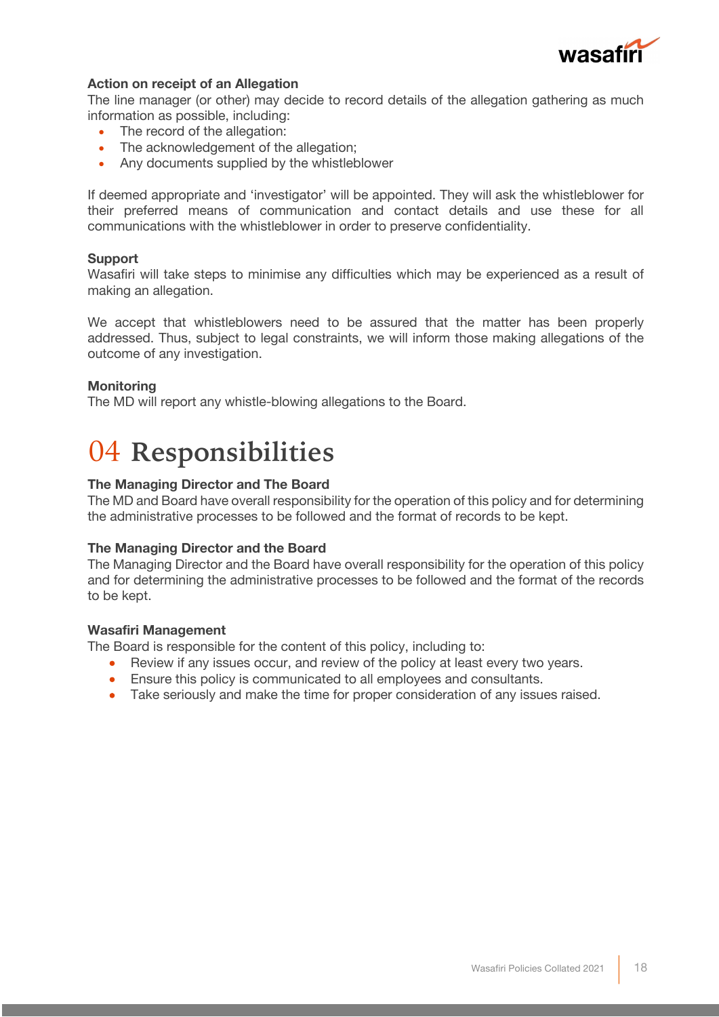

### **Action on receipt of an Allegation**

The line manager (or other) may decide to record details of the allegation gathering as much information as possible, including:

- The record of the allegation:
- The acknowledgement of the allegation;
- Any documents supplied by the whistleblower

If deemed appropriate and 'investigator' will be appointed. They will ask the whistleblower for their preferred means of communication and contact details and use these for all communications with the whistleblower in order to preserve confidentiality.

### **Support**

Wasafiri will take steps to minimise any difficulties which may be experienced as a result of making an allegation.

We accept that whistleblowers need to be assured that the matter has been properly addressed. Thus, subject to legal constraints, we will inform those making allegations of the outcome of any investigation.

#### **Monitoring**

The MD will report any whistle-blowing allegations to the Board.

### 04 **Responsibilities**

#### **The Managing Director and The Board**

The MD and Board have overall responsibility for the operation of this policy and for determining the administrative processes to be followed and the format of records to be kept.

#### **The Managing Director and the Board**

The Managing Director and the Board have overall responsibility for the operation of this policy and for determining the administrative processes to be followed and the format of the records to be kept.

#### **Wasafiri Management**

The Board is responsible for the content of this policy, including to:

- Review if any issues occur, and review of the policy at least every two years.
- Ensure this policy is communicated to all employees and consultants.
- Take seriously and make the time for proper consideration of any issues raised.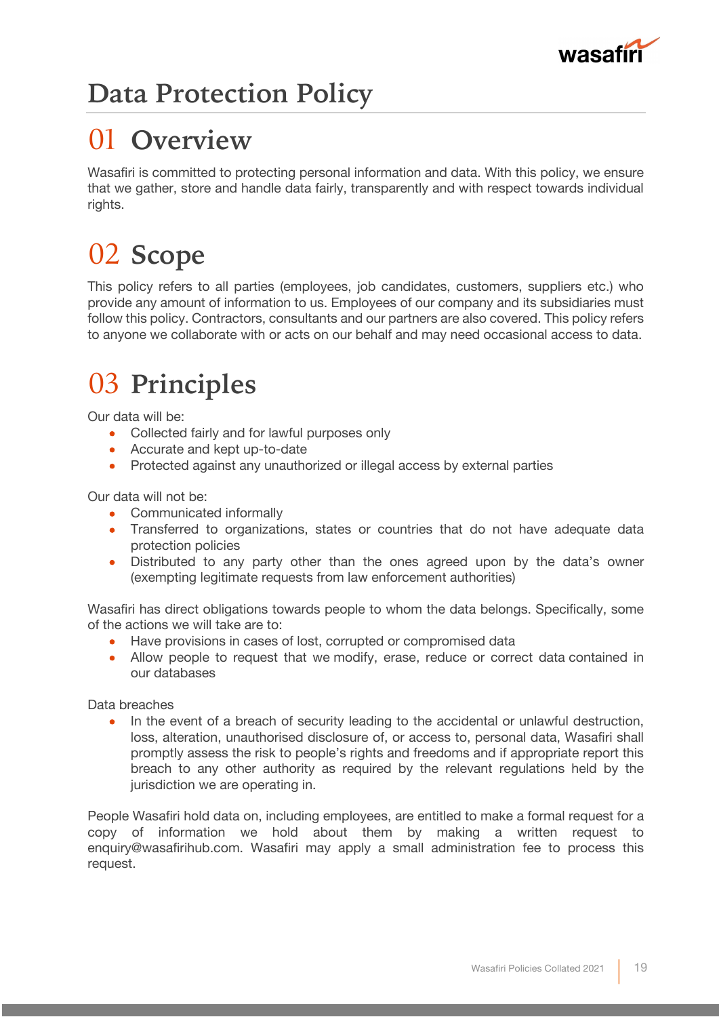

## **Data Protection Policy**

## 01 **Overview**

Wasafiri is committed to protecting personal information and data. With this policy, we ensure that we gather, store and handle data fairly, transparently and with respect towards individual rights.

# 02 **Scope**

This policy refers to all parties (employees, job candidates, customers, suppliers etc.) who provide any amount of information to us. Employees of our company and its subsidiaries must follow this policy. Contractors, consultants and our partners are also covered. This policy refers to anyone we collaborate with or acts on our behalf and may need occasional access to data.

## 03 **Principles**

Our data will be:

- Collected fairly and for lawful purposes only
- Accurate and kept up-to-date
- Protected against any unauthorized or illegal access by external parties

Our data will not be:

- Communicated informally
- Transferred to organizations, states or countries that do not have adequate data protection policies
- Distributed to any party other than the ones agreed upon by the data's owner (exempting legitimate requests from law enforcement authorities)

Wasafiri has direct obligations towards people to whom the data belongs. Specifically, some of the actions we will take are to:

- Have provisions in cases of lost, corrupted or compromised data
- Allow people to request that we modify, erase, reduce or correct data contained in our databases

Data breaches

• In the event of a breach of security leading to the accidental or unlawful destruction, loss, alteration, unauthorised disclosure of, or access to, personal data, Wasafiri shall promptly assess the risk to people's rights and freedoms and if appropriate report this breach to any other authority as required by the relevant regulations held by the jurisdiction we are operating in.

People Wasafiri hold data on, including employees, are entitled to make a formal request for a copy of information we hold about them by making a written request to enquiry@wasafirihub.com. Wasafiri may apply a small administration fee to process this request.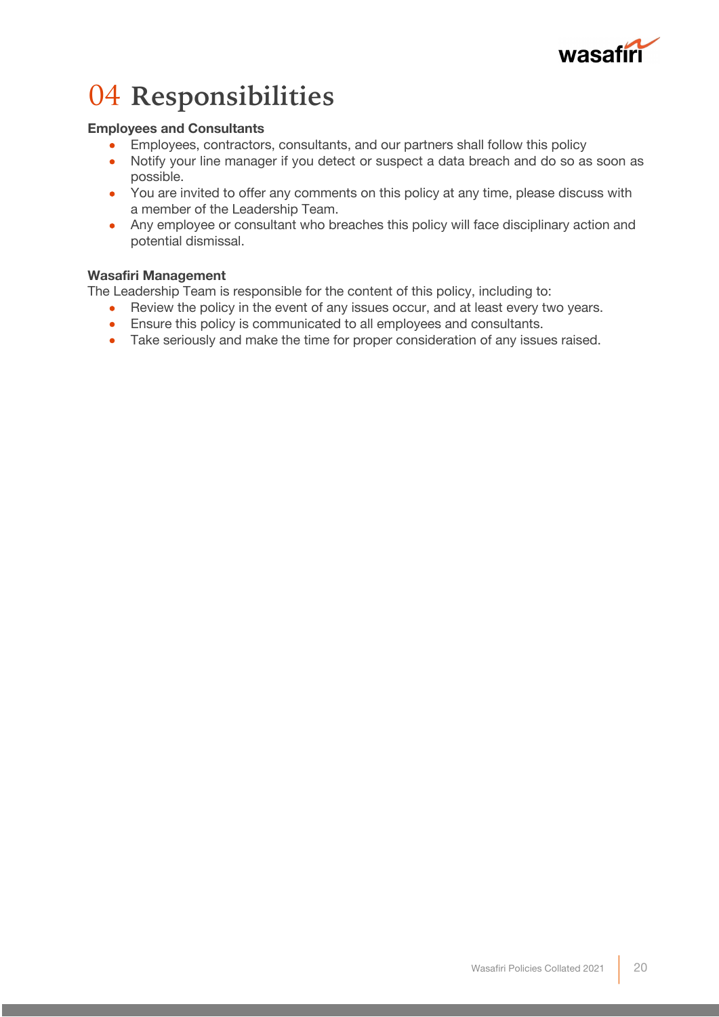

## 04 **Responsibilities**

### **Employees and Consultants**

- Employees, contractors, consultants, and our partners shall follow this policy
- Notify your line manager if you detect or suspect a data breach and do so as soon as possible.
- You are invited to offer any comments on this policy at any time, please discuss with a member of the Leadership Team.
- Any employee or consultant who breaches this policy will face disciplinary action and potential dismissal.

### **Wasafiri Management**

The Leadership Team is responsible for the content of this policy, including to:

- Review the policy in the event of any issues occur, and at least every two years.
- Ensure this policy is communicated to all employees and consultants.
- Take seriously and make the time for proper consideration of any issues raised.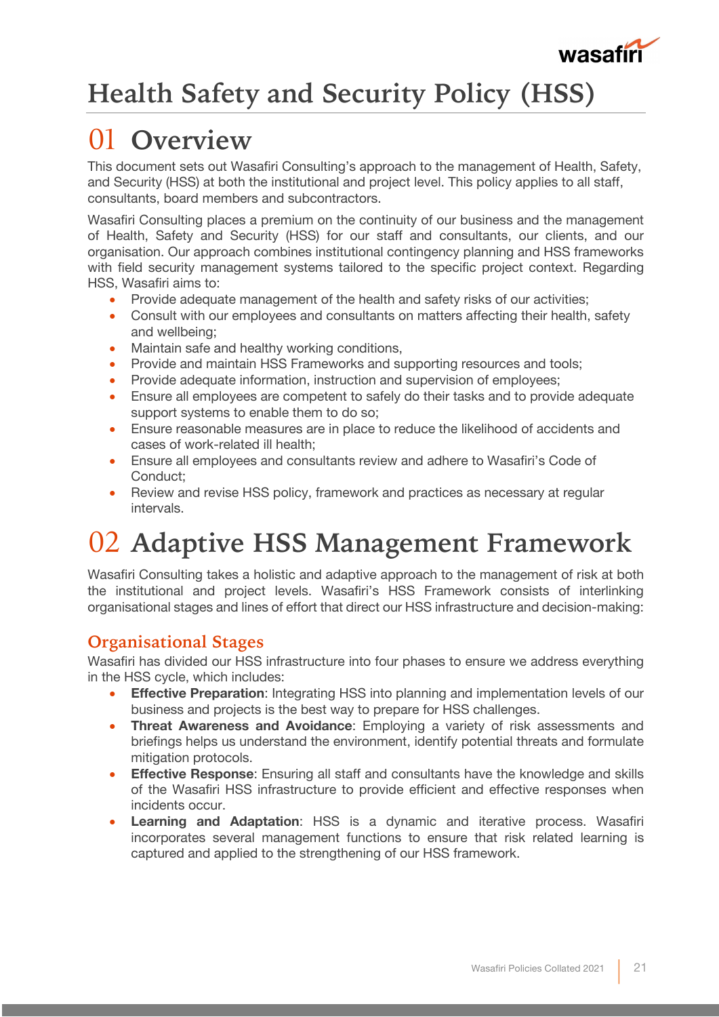

## **Health Safety and Security Policy (HSS)**

## 01 **Overview**

This document sets out Wasafiri Consulting's approach to the management of Health, Safety, and Security (HSS) at both the institutional and project level. This policy applies to all staff, consultants, board members and subcontractors.

Wasafiri Consulting places a premium on the continuity of our business and the management of Health, Safety and Security (HSS) for our staff and consultants, our clients, and our organisation. Our approach combines institutional contingency planning and HSS frameworks with field security management systems tailored to the specific project context. Regarding HSS, Wasafiri aims to:

- Provide adequate management of the health and safety risks of our activities;
- Consult with our employees and consultants on matters affecting their health, safety and wellbeing;
- Maintain safe and healthy working conditions,
- Provide and maintain HSS Frameworks and supporting resources and tools;
- Provide adequate information, instruction and supervision of employees;
- Ensure all employees are competent to safely do their tasks and to provide adequate support systems to enable them to do so;
- Ensure reasonable measures are in place to reduce the likelihood of accidents and cases of work-related ill health;
- Ensure all employees and consultants review and adhere to Wasafiri's Code of Conduct;
- Review and revise HSS policy, framework and practices as necessary at regular intervals.

## 02 **Adaptive HSS Management Framework**

Wasafiri Consulting takes a holistic and adaptive approach to the management of risk at both the institutional and project levels. Wasafiri's HSS Framework consists of interlinking organisational stages and lines of effort that direct our HSS infrastructure and decision-making:

### **Organisational Stages**

Wasafiri has divided our HSS infrastructure into four phases to ensure we address everything in the HSS cycle, which includes:

- **Effective Preparation**: Integrating HSS into planning and implementation levels of our business and projects is the best way to prepare for HSS challenges.
- **Threat Awareness and Avoidance**: Employing a variety of risk assessments and briefings helps us understand the environment, identify potential threats and formulate mitigation protocols.
- **Effective Response**: Ensuring all staff and consultants have the knowledge and skills of the Wasafiri HSS infrastructure to provide efficient and effective responses when incidents occur.
- **Learning and Adaptation**: HSS is a dynamic and iterative process. Wasafiri incorporates several management functions to ensure that risk related learning is captured and applied to the strengthening of our HSS framework.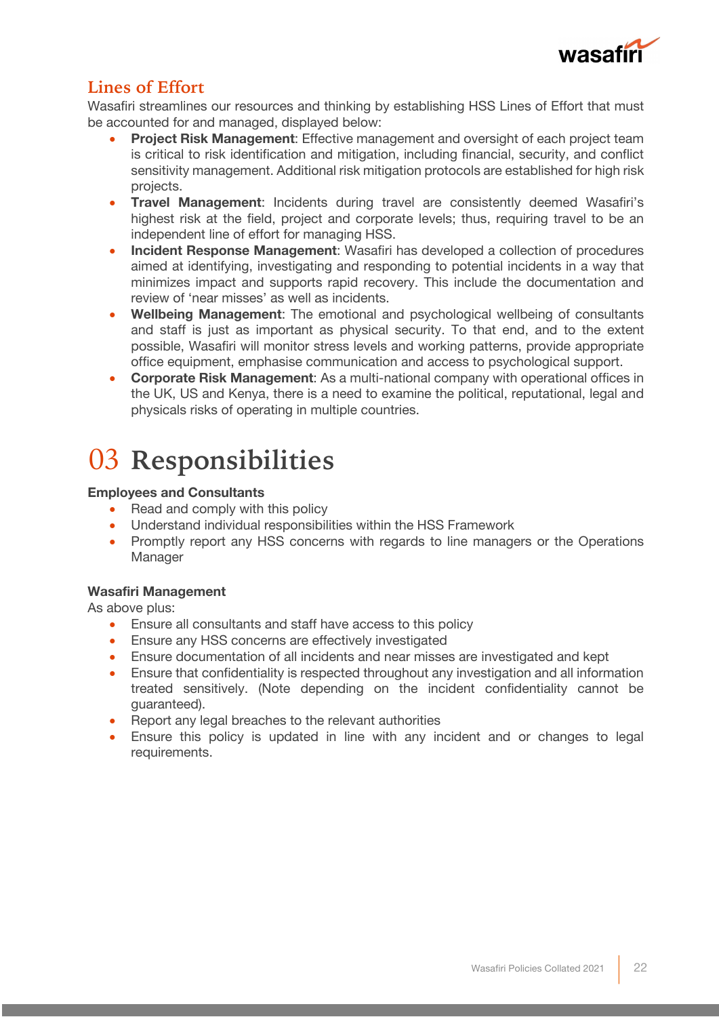

### **Lines of Effort**

Wasafiri streamlines our resources and thinking by establishing HSS Lines of Effort that must be accounted for and managed, displayed below:

- **Project Risk Management**: Effective management and oversight of each project team is critical to risk identification and mitigation, including financial, security, and conflict sensitivity management. Additional risk mitigation protocols are established for high risk projects.
- **Travel Management**: Incidents during travel are consistently deemed Wasafiri's highest risk at the field, project and corporate levels; thus, requiring travel to be an independent line of effort for managing HSS.
- **Incident Response Management**: Wasafiri has developed a collection of procedures aimed at identifying, investigating and responding to potential incidents in a way that minimizes impact and supports rapid recovery. This include the documentation and review of 'near misses' as well as incidents.
- **Wellbeing Management**: The emotional and psychological wellbeing of consultants and staff is just as important as physical security. To that end, and to the extent possible, Wasafiri will monitor stress levels and working patterns, provide appropriate office equipment, emphasise communication and access to psychological support.
- **Corporate Risk Management**: As a multi-national company with operational offices in the UK, US and Kenya, there is a need to examine the political, reputational, legal and physicals risks of operating in multiple countries.

## 03 **Responsibilities**

### **Employees and Consultants**

- Read and comply with this policy
- Understand individual responsibilities within the HSS Framework
- Promptly report any HSS concerns with regards to line managers or the Operations Manager

### **Wasafiri Management**

As above plus:

- Ensure all consultants and staff have access to this policy
- Ensure any HSS concerns are effectively investigated
- Ensure documentation of all incidents and near misses are investigated and kept
- Ensure that confidentiality is respected throughout any investigation and all information treated sensitively. (Note depending on the incident confidentiality cannot be guaranteed).
- Report any legal breaches to the relevant authorities
- Ensure this policy is updated in line with any incident and or changes to legal requirements.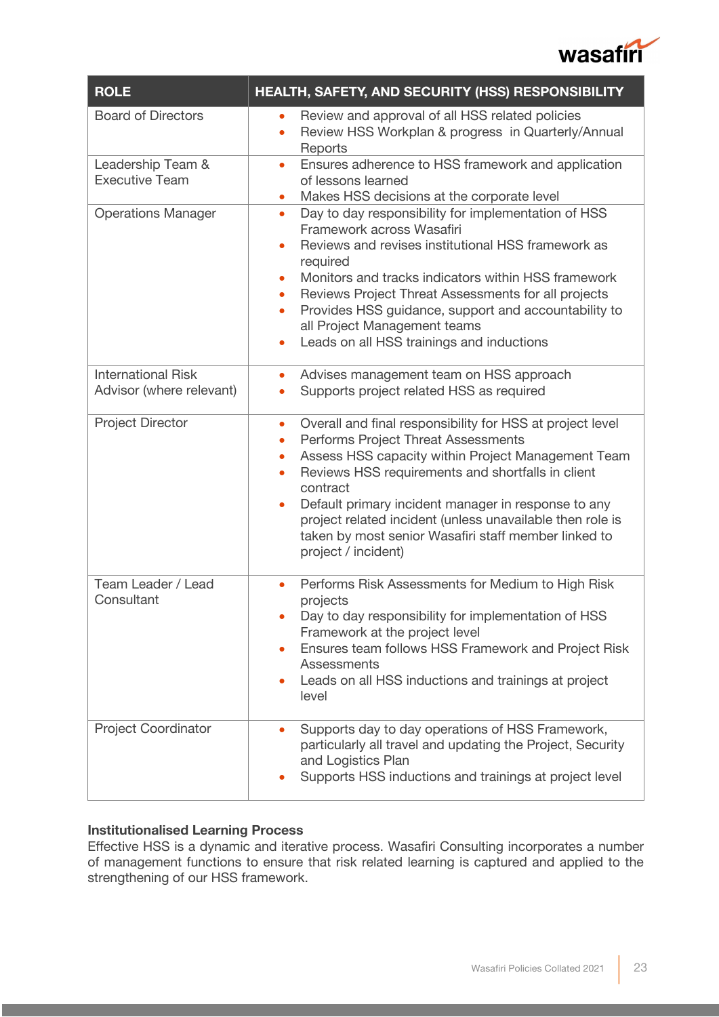

| <b>ROLE</b>                                           | HEALTH, SAFETY, AND SECURITY (HSS) RESPONSIBILITY                                                                                                                                                                                                                                                                                                                                                                                                                                           |
|-------------------------------------------------------|---------------------------------------------------------------------------------------------------------------------------------------------------------------------------------------------------------------------------------------------------------------------------------------------------------------------------------------------------------------------------------------------------------------------------------------------------------------------------------------------|
| <b>Board of Directors</b>                             | Review and approval of all HSS related policies<br>$\bullet$<br>Review HSS Workplan & progress in Quarterly/Annual<br>$\bullet$<br>Reports                                                                                                                                                                                                                                                                                                                                                  |
| Leadership Team &<br><b>Executive Team</b>            | Ensures adherence to HSS framework and application<br>$\bullet$<br>of lessons learned<br>Makes HSS decisions at the corporate level<br>$\bullet$                                                                                                                                                                                                                                                                                                                                            |
| <b>Operations Manager</b>                             | Day to day responsibility for implementation of HSS<br>$\bullet$<br>Framework across Wasafiri<br>Reviews and revises institutional HSS framework as<br>$\bullet$<br>required<br>Monitors and tracks indicators within HSS framework<br>$\bullet$<br>Reviews Project Threat Assessments for all projects<br>$\bullet$<br>Provides HSS guidance, support and accountability to<br>$\bullet$<br>all Project Management teams<br>Leads on all HSS trainings and inductions<br>$\bullet$         |
| <b>International Risk</b><br>Advisor (where relevant) | Advises management team on HSS approach<br>۰<br>Supports project related HSS as required                                                                                                                                                                                                                                                                                                                                                                                                    |
| <b>Project Director</b>                               | Overall and final responsibility for HSS at project level<br>$\bullet$<br>Performs Project Threat Assessments<br>$\bullet$<br>Assess HSS capacity within Project Management Team<br>$\bullet$<br>Reviews HSS requirements and shortfalls in client<br>$\bullet$<br>contract<br>Default primary incident manager in response to any<br>$\bullet$<br>project related incident (unless unavailable then role is<br>taken by most senior Wasafiri staff member linked to<br>project / incident) |
| Team Leader / Lead<br>Consultant                      | Performs Risk Assessments for Medium to High Risk<br>projects<br>Day to day responsibility for implementation of HSS<br>Framework at the project level<br>Ensures team follows HSS Framework and Project Risk<br>Assessments<br>Leads on all HSS inductions and trainings at project<br>level                                                                                                                                                                                               |
| <b>Project Coordinator</b>                            | Supports day to day operations of HSS Framework,<br>$\bullet$<br>particularly all travel and updating the Project, Security<br>and Logistics Plan<br>Supports HSS inductions and trainings at project level                                                                                                                                                                                                                                                                                 |

### **Institutionalised Learning Process**

Effective HSS is a dynamic and iterative process. Wasafiri Consulting incorporates a number of management functions to ensure that risk related learning is captured and applied to the strengthening of our HSS framework.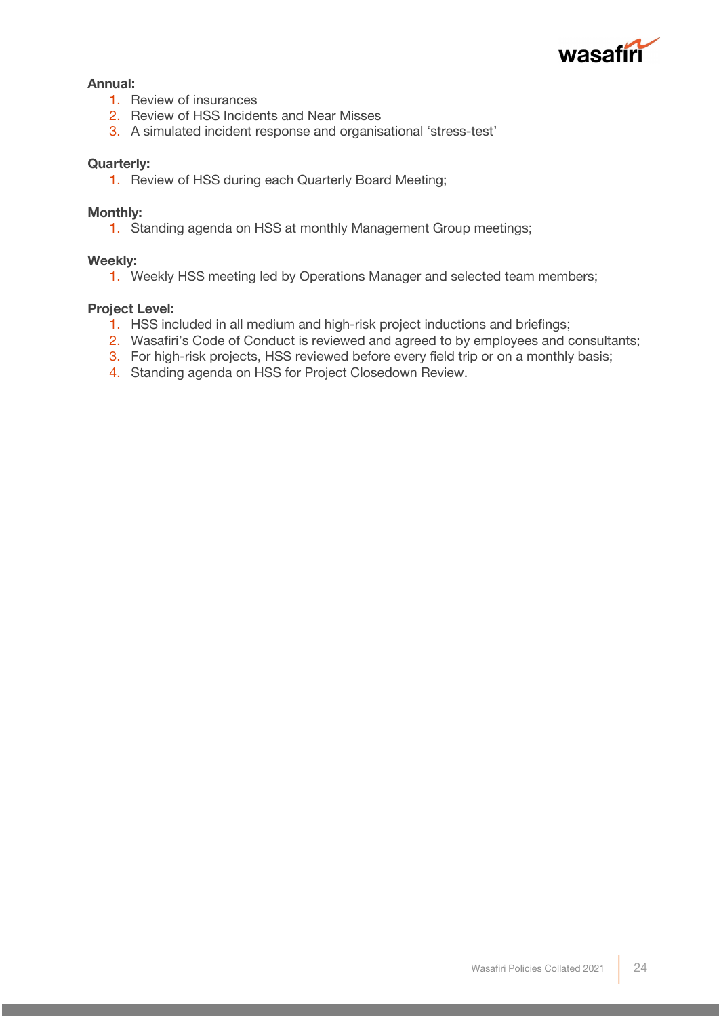

### **Annual:**

- 1. Review of insurances
- 2. Review of HSS Incidents and Near Misses
- 3. A simulated incident response and organisational 'stress-test'

### **Quarterly:**

1. Review of HSS during each Quarterly Board Meeting;

### **Monthly:**

1. Standing agenda on HSS at monthly Management Group meetings;

### **Weekly:**

1. Weekly HSS meeting led by Operations Manager and selected team members;

### **Project Level:**

- 1. HSS included in all medium and high-risk project inductions and briefings;
- 2. Wasafiri's Code of Conduct is reviewed and agreed to by employees and consultants;
- 3. For high-risk projects, HSS reviewed before every field trip or on a monthly basis;
- 4. Standing agenda on HSS for Project Closedown Review.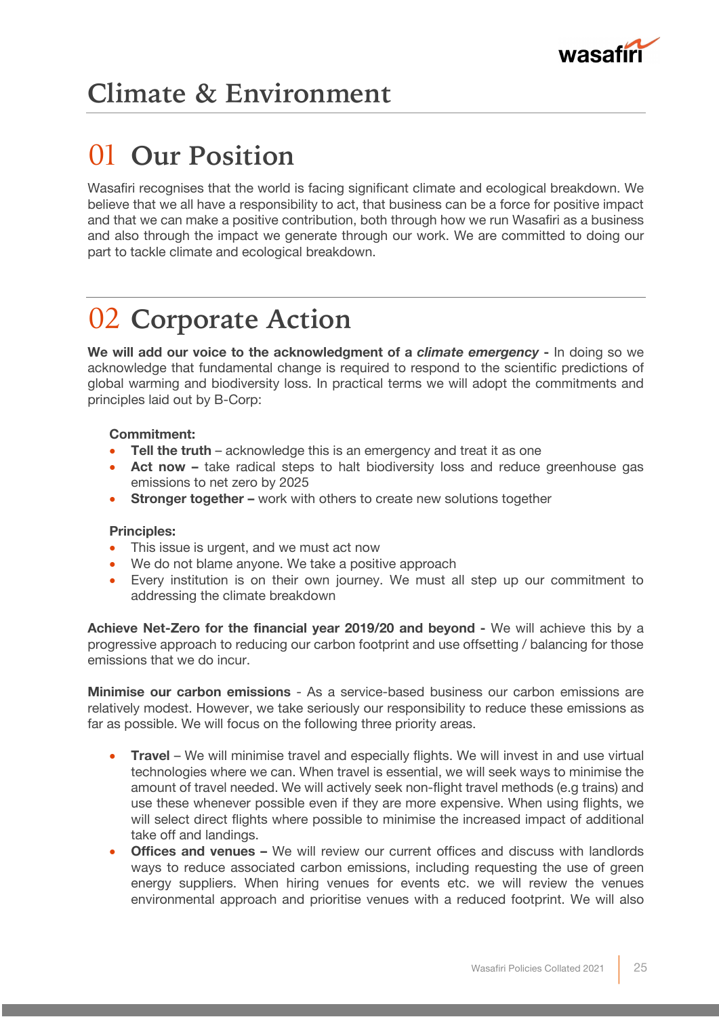

## 01 **Our Position**

Wasafiri recognises that the world is facing significant climate and ecological breakdown. We believe that we all have a responsibility to act, that business can be a force for positive impact and that we can make a positive contribution, both through how we run Wasafiri as a business and also through the impact we generate through our work. We are committed to doing our part to tackle climate and ecological breakdown.

## 02 **Corporate Action**

**We will add our voice to the acknowledgment of a** *climate emergency* **-** In doing so we acknowledge that fundamental change is required to respond to the scientific predictions of global warming and biodiversity loss. In practical terms we will adopt the commitments and principles laid out by B-Corp:

### **Commitment:**

- **Tell the truth** acknowledge this is an emergency and treat it as one
- **Act now –** take radical steps to halt biodiversity loss and reduce greenhouse gas emissions to net zero by 2025
- **Stronger together –** work with others to create new solutions together

### **Principles:**

- This issue is urgent, and we must act now
- We do not blame anyone. We take a positive approach
- Every institution is on their own journey. We must all step up our commitment to addressing the climate breakdown

**Achieve Net-Zero for the financial year 2019/20 and beyond -** We will achieve this by a progressive approach to reducing our carbon footprint and use offsetting / balancing for those emissions that we do incur.

**Minimise our carbon emissions** - As a service-based business our carbon emissions are relatively modest. However, we take seriously our responsibility to reduce these emissions as far as possible. We will focus on the following three priority areas.

- **Travel** We will minimise travel and especially flights. We will invest in and use virtual technologies where we can. When travel is essential, we will seek ways to minimise the amount of travel needed. We will actively seek non-flight travel methods (e.g trains) and use these whenever possible even if they are more expensive. When using flights, we will select direct flights where possible to minimise the increased impact of additional take off and landings.
- **Offices and venues -** We will review our current offices and discuss with landlords ways to reduce associated carbon emissions, including requesting the use of green energy suppliers. When hiring venues for events etc. we will review the venues environmental approach and prioritise venues with a reduced footprint. We will also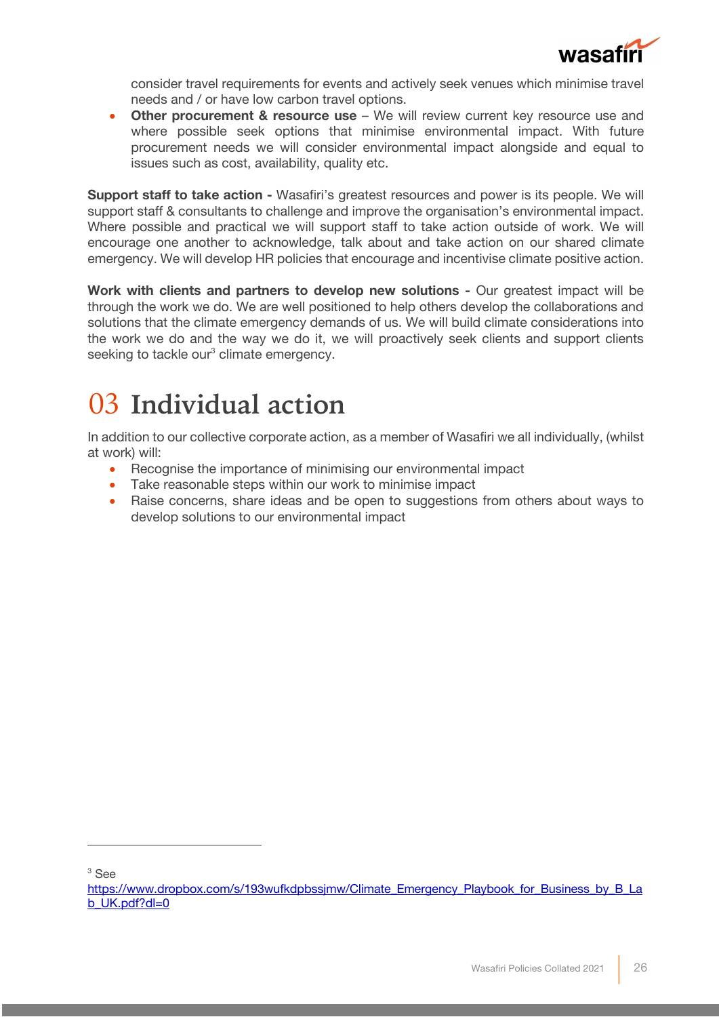

consider travel requirements for events and actively seek venues which minimise travel needs and / or have low carbon travel options.

**Other procurement & resource use** – We will review current key resource use and where possible seek options that minimise environmental impact. With future procurement needs we will consider environmental impact alongside and equal to issues such as cost, availability, quality etc.

**Support staff to take action -** Wasafiri's greatest resources and power is its people. We will support staff & consultants to challenge and improve the organisation's environmental impact. Where possible and practical we will support staff to take action outside of work. We will encourage one another to acknowledge, talk about and take action on our shared climate emergency. We will develop HR policies that encourage and incentivise climate positive action.

**Work with clients and partners to develop new solutions -** Our greatest impact will be through the work we do. We are well positioned to help others develop the collaborations and solutions that the climate emergency demands of us. We will build climate considerations into the work we do and the way we do it, we will proactively seek clients and support clients seeking to tackle our<sup>3</sup> climate emergency.

## 03 **Individual action**

In addition to our collective corporate action, as a member of Wasafiri we all individually, (whilst at work) will:

- Recognise the importance of minimising our environmental impact
- Take reasonable steps within our work to minimise impact
- Raise concerns, share ideas and be open to suggestions from others about ways to develop solutions to our environmental impact

<sup>3</sup> See

https://www.dropbox.com/s/193wufkdpbssimw/Climate\_Emergency\_Playbook\_for\_Business\_by\_B\_La b\_UK.pdf?dl=0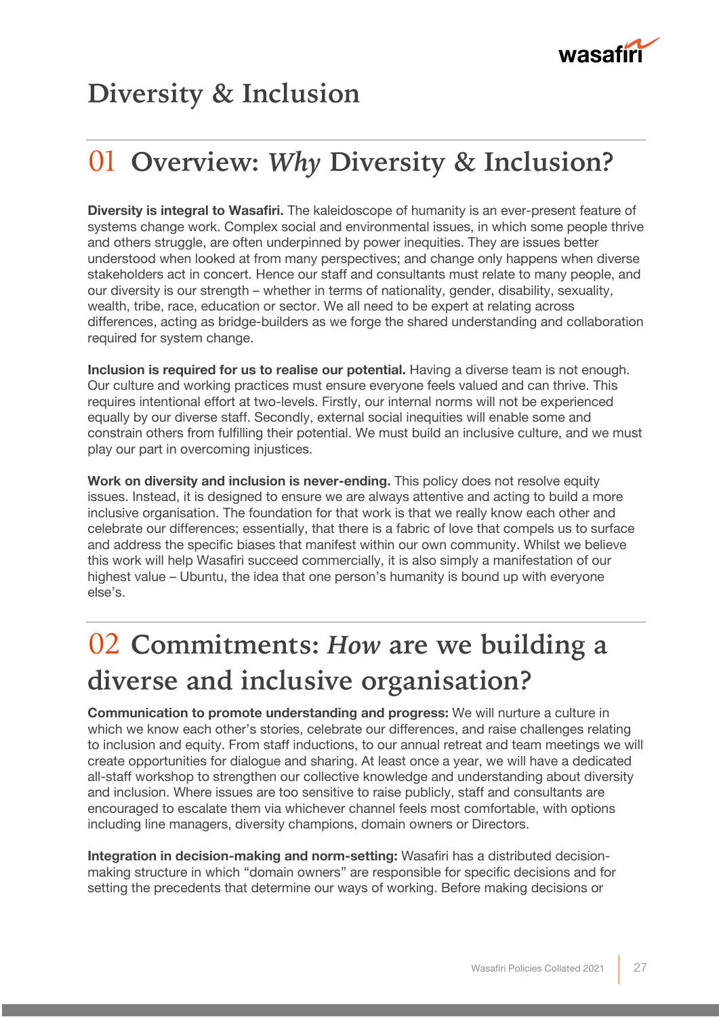

### **Diversity & Inclusion**

## 01 **Overview:** *Why* **Diversity & Inclusion?**

**Diversity is integral to Wasafiri.** The kaleidoscope of humanity is an ever-present feature of systems change work. Complex social and environmental issues, in which some people thrive and others struggle, are often underpinned by power inequities. They are issues better understood when looked at from many perspectives; and change only happens when diverse stakeholders act in concert. Hence our staff and consultants must relate to many people, and our diversity is our strength – whether in terms of nationality, gender, disability, sexuality, wealth, tribe, race, education or sector. We all need to be expert at relating across differences, acting as bridge-builders as we forge the shared understanding and collaboration required for system change.

**Inclusion is required for us to realise our potential.** Having a diverse team is not enough. Our culture and working practices must ensure everyone feels valued and can thrive. This requires intentional effort at two-levels. Firstly, our internal norms will not be experienced equally by our diverse staff. Secondly, external social inequities will enable some and constrain others from fulfilling their potential. We must build an inclusive culture, and we must play our part in overcoming injustices.

**Work on diversity and inclusion is never-ending.** This policy does not resolve equity issues. Instead, it is designed to ensure we are always attentive and acting to build a more inclusive organisation. The foundation for that work is that we really know each other and celebrate our differences; essentially, that there is a fabric of love that compels us to surface and address the specific biases that manifest within our own community. Whilst we believe this work will help Wasafiri succeed commercially, it is also simply a manifestation of our highest value – Ubuntu, the idea that one person's humanity is bound up with everyone else's.

## 02 **Commitments:** *How* **are we building a diverse and inclusive organisation?**

**Communication to promote understanding and progress:** We will nurture a culture in which we know each other's stories, celebrate our differences, and raise challenges relating to inclusion and equity. From staff inductions, to our annual retreat and team meetings we will create opportunities for dialogue and sharing. At least once a year, we will have a dedicated all-staff workshop to strengthen our collective knowledge and understanding about diversity and inclusion. Where issues are too sensitive to raise publicly, staff and consultants are encouraged to escalate them via whichever channel feels most comfortable, with options including line managers, diversity champions, domain owners or Directors.

**Integration in decision-making and norm-setting:** Wasafiri has a distributed decisionmaking structure in which "domain owners" are responsible for specific decisions and for setting the precedents that determine our ways of working. Before making decisions or